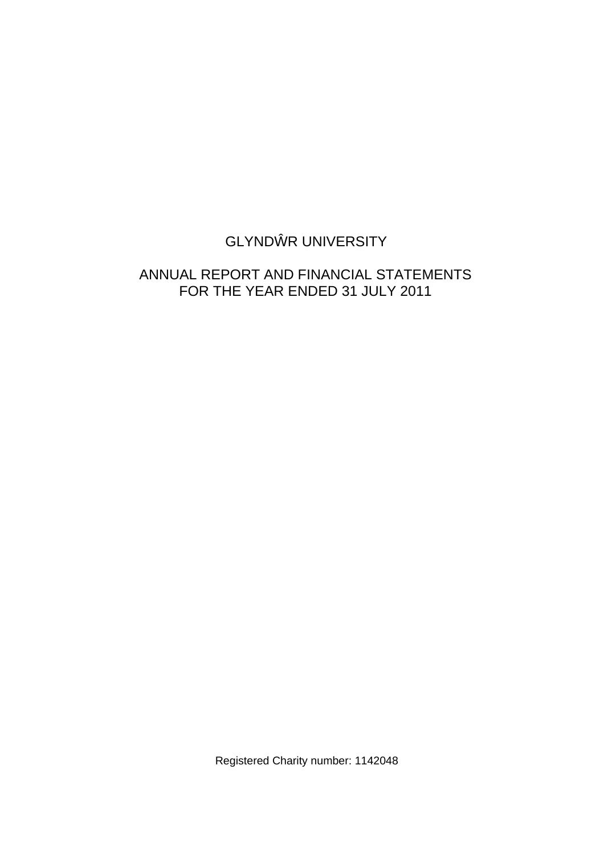# GLYND R UNIVERSITY

# ANNUAL REPORT AND FINANCIAL STATEMENTS FOR THE YEAR ENDED 31 JULY 2011

Registered Charity number: 1142048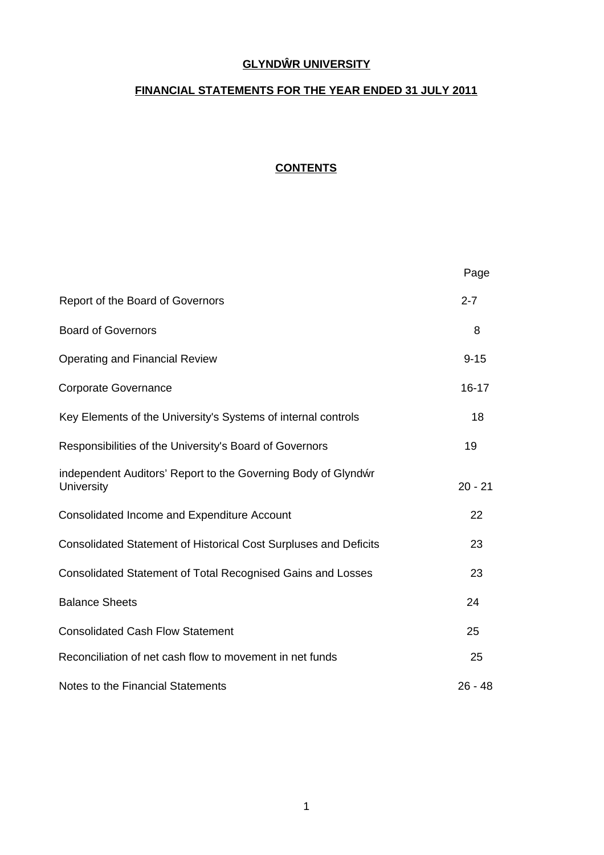# **GLYND R UNIVERSITY**

# **FINANCIAL STATEMENTS FOR THE YEAR ENDED 31 JULY 2011**

# **CONTENTS**

|                                                                             | Page      |
|-----------------------------------------------------------------------------|-----------|
| Report of the Board of Governors                                            | $2 - 7$   |
| <b>Board of Governors</b>                                                   | 8         |
| <b>Operating and Financial Review</b>                                       | $9 - 15$  |
| <b>Corporate Governance</b>                                                 | $16 - 17$ |
| Key Elements of the University's Systems of internal controls               | 18        |
| Responsibilities of the University's Board of Governors                     | 19        |
| independent Auditors' Report to the Governing Body of Glynd r<br>University | $20 - 21$ |
| <b>Consolidated Income and Expenditure Account</b>                          | 22        |
| <b>Consolidated Statement of Historical Cost Surpluses and Deficits</b>     | 23        |
| Consolidated Statement of Total Recognised Gains and Losses                 | 23        |
| <b>Balance Sheets</b>                                                       | 24        |
| <b>Consolidated Cash Flow Statement</b>                                     | 25        |
| Reconciliation of net cash flow to movement in net funds                    | 25        |
| Notes to the Financial Statements                                           | $26 - 48$ |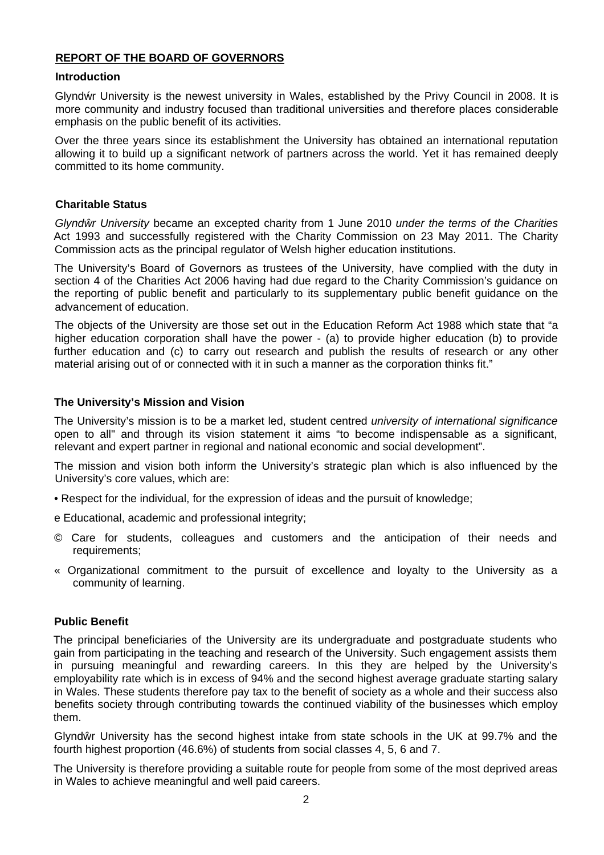# **REPORT OF THE BOARD OF GOVERNORS**

### **Introduction**

Glynd r University is the newest university in Wales, established by the Privy Council in 2008. It is more community and industry focused than traditional universities and therefore places considerable emphasis on the public benefit of its activities.

Over the three years since its establishment the University has obtained an international reputation allowing it to build up a significant network of partners across the world. Yet it has remained deeply committed to its home community.

# **Charitable Status**

*Glynd r University* became an excepted charity from 1 June 2010 *under the terms of the Charities* Act 1993 and successfully registered with the Charity Commission on 23 May 2011. The Charity Commission acts as the principal regulator of Welsh higher education institutions.

The University's Board of Governors as trustees of the University, have complied with the duty in section 4 of the Charities Act 2006 having had due regard to the Charity Commission's guidance on the reporting of public benefit and particularly to its supplementary public benefit guidance on the advancement of education.

The objects of the University are those set out in the Education Reform Act 1988 which state that "a higher education corporation shall have the power - (a) to provide higher education (b) to provide further education and (c) to carry out research and publish the results of research or any other material arising out of or connected with it in such a manner as the corporation thinks fit."

# **The University's Mission and Vision**

The University's mission is to be a market led, student centred *university of international significance* open to all" and through its vision statement it aims "to become indispensable as a significant, relevant and expert partner in regional and national economic and social development".

The mission and vision both inform the University's strategic plan which is also influenced by the University's core values, which are:

- Respect for the individual, for the expression of ideas and the pursuit of knowledge;
- e Educational, academic and professional integrity;
- © Care for students, colleagues and customers and the anticipation of their needs and requirements;
- « Organizational commitment to the pursuit of excellence and loyalty to the University as a community of learning.

# **Public Benefit**

The principal beneficiaries of the University are its undergraduate and postgraduate students who gain from participating in the teaching and research of the University. Such engagement assists them in pursuing meaningful and rewarding careers. In this they are helped by the University's employability rate which is in excess of 94% and the second highest average graduate starting salary in Wales. These students therefore pay tax to the benefit of society as a whole and their success also benefits society through contributing towards the continued viability of the businesses which employ them.

Glynd r University has the second highest intake from state schools in the UK at 99.7% and the fourth highest proportion (46.6%) of students from social classes 4, 5, 6 and 7.

The University is therefore providing a suitable route for people from some of the most deprived areas in Wales to achieve meaningful and well paid careers.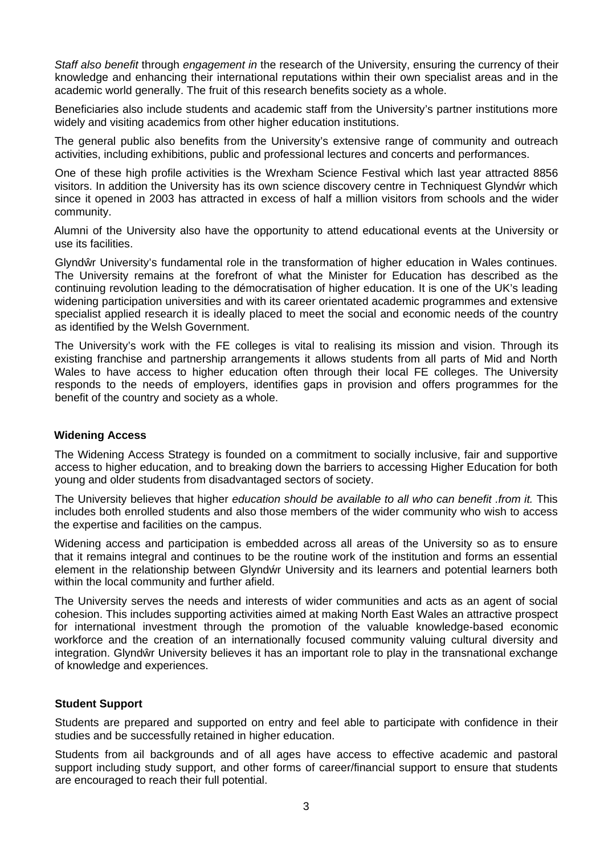*Staff also benefit* through *engagement in* the research of the University, ensuring the currency of their knowledge and enhancing their international reputations within their own specialist areas and in the academic world generally. The fruit of this research benefits society as a whole.

Beneficiaries also include students and academic staff from the University's partner institutions more widely and visiting academics from other higher education institutions.

The general public also benefits from the University's extensive range of community and outreach activities, including exhibitions, public and professional lectures and concerts and performances.

One of these high profile activities is the Wrexham Science Festival which last year attracted 8856 visitors. In addition the University has its own science discovery centre in Techniquest Glynd r which since it opened in 2003 has attracted in excess of half a million visitors from schools and the wider community.

Alumni of the University also have the opportunity to attend educational events at the University or use its facilities.

Glynd r University's fundamental role in the transformation of higher education in Wales continues. The University remains at the forefront of what the Minister for Education has described as the continuing revolution leading to the démocratisation of higher education. It is one of the UK's leading widening participation universities and with its career orientated academic programmes and extensive specialist applied research it is ideally placed to meet the social and economic needs of the country as identified by the Welsh Government.

The University's work with the FE colleges is vital to realising its mission and vision. Through its existing franchise and partnership arrangements it allows students from all parts of Mid and North Wales to have access to higher education often through their local FE colleges. The University responds to the needs of employers, identifies gaps in provision and offers programmes for the benefit of the country and society as a whole.

# **Widening Access**

The Widening Access Strategy is founded on a commitment to socially inclusive, fair and supportive access to higher education, and to breaking down the barriers to accessing Higher Education for both young and older students from disadvantaged sectors of society.

The University believes that higher *education should be available to all who can benefit .from it.* This includes both enrolled students and also those members of the wider community who wish to access the expertise and facilities on the campus.

Widening access and participation is embedded across all areas of the University so as to ensure that it remains integral and continues to be the routine work of the institution and forms an essential element in the relationship between Glynd r University and its learners and potential learners both within the local community and further afield.

The University serves the needs and interests of wider communities and acts as an agent of social cohesion. This includes supporting activities aimed at making North East Wales an attractive prospect for international investment through the promotion of the valuable knowledge-based economic workforce and the creation of an internationally focused community valuing cultural diversity and integration. Glynd r University believes it has an important role to play in the transnational exchange of knowledge and experiences.

### **Student Support**

Students are prepared and supported on entry and feel able to participate with confidence in their studies and be successfully retained in higher education.

Students from ail backgrounds and of all ages have access to effective academic and pastoral support including study support, and other forms of career/financial support to ensure that students are encouraged to reach their full potential.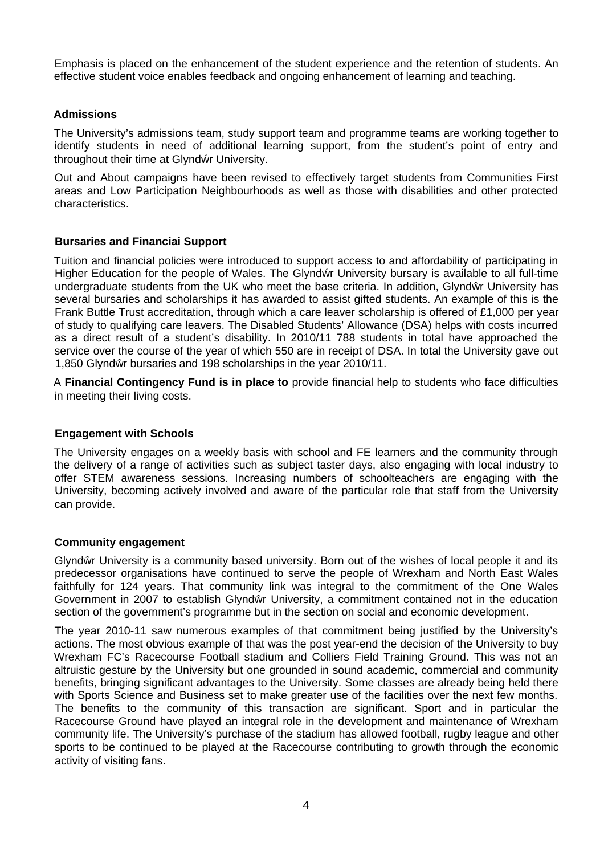Emphasis is placed on the enhancement of the student experience and the retention of students. An effective student voice enables feedback and ongoing enhancement of learning and teaching.

# **Admissions**

The University's admissions team, study support team and programme teams are working together to identify students in need of additional learning support, from the student's point of entry and throughout their time at Glynd r University.

Out and About campaigns have been revised to effectively target students from Communities First areas and Low Participation Neighbourhoods as well as those with disabilities and other protected characteristics.

# **Bursaries and Financiai Support**

Tuition and financial policies were introduced to support access to and affordability of participating in Higher Education for the people of Wales. The Glynd r University bursary is available to all full-time undergraduate students from the UK who meet the base criteria. In addition, Glynd r University has several bursaries and scholarships it has awarded to assist gifted students. An example of this is the Frank Buttle Trust accreditation, through which a care leaver scholarship is offered of £1,000 per year of study to qualifying care leavers. The Disabled Students' Allowance (DSA) helps with costs incurred as a direct result of a student's disability. In 2010/11 788 students in total have approached the service over the course of the year of which 550 are in receipt of DSA. In total the University gave out 1,850 Glynd r bursaries and 198 scholarships in the year 2010/11.

A **Financial Contingency Fund is in place to** provide financial help to students who face difficulties in meeting their living costs.

# **Engagement with Schools**

The University engages on a weekly basis with school and FE learners and the community through the delivery of a range of activities such as subject taster days, also engaging with local industry to offer STEM awareness sessions. Increasing numbers of schoolteachers are engaging with the University, becoming actively involved and aware of the particular role that staff from the University can provide.

# **Community engagement**

Glynd r University is a community based university. Born out of the wishes of local people it and its predecessor organisations have continued to serve the people of Wrexham and North East Wales faithfully for 124 years. That community link was integral to the commitment of the One Wales Government in 2007 to establish Glynd r University, a commitment contained not in the education section of the government's programme but in the section on social and economic development.

The year 2010-11 saw numerous examples of that commitment being justified by the University's actions. The most obvious example of that was the post year-end the decision of the University to buy Wrexham FC's Racecourse Football stadium and Colliers Field Training Ground. This was not an altruistic gesture by the University but one grounded in sound academic, commercial and community benefits, bringing significant advantages to the University. Some classes are already being held there with Sports Science and Business set to make greater use of the facilities over the next few months. The benefits to the community of this transaction are significant. Sport and in particular the Racecourse Ground have played an integral role in the development and maintenance of Wrexham community life. The University's purchase of the stadium has allowed football, rugby league and other sports to be continued to be played at the Racecourse contributing to growth through the economic activity of visiting fans.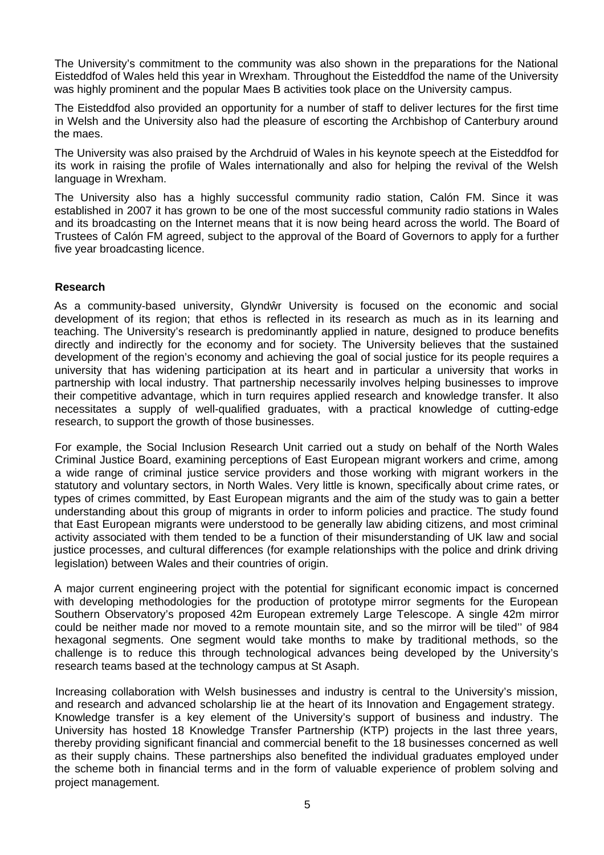The University's commitment to the community was also shown in the preparations for the National Eisteddfod of Wales held this year in Wrexham. Throughout the Eisteddfod the name of the University was highly prominent and the popular Maes B activities took place on the University campus.

The Eisteddfod also provided an opportunity for a number of staff to deliver lectures for the first time in Welsh and the University also had the pleasure of escorting the Archbishop of Canterbury around the maes.

The University was also praised by the Archdruid of Wales in his keynote speech at the Eisteddfod for its work in raising the profile of Wales internationally and also for helping the revival of the Welsh language in Wrexham.

The University also has a highly successful community radio station, Calón FM. Since it was established in 2007 it has grown to be one of the most successful community radio stations in Wales and its broadcasting on the Internet means that it is now being heard across the world. The Board of Trustees of Calón FM agreed, subject to the approval of the Board of Governors to apply for a further five year broadcasting licence.

### **Research**

As a community-based university, Glynd r University is focused on the economic and social development of its region; that ethos is reflected in its research as much as in its learning and teaching. The University's research is predominantly applied in nature, designed to produce benefits directly and indirectly for the economy and for society. The University believes that the sustained development of the region's economy and achieving the goal of social justice for its people requires a university that has widening participation at its heart and in particular a university that works in partnership with local industry. That partnership necessarily involves helping businesses to improve their competitive advantage, which in turn requires applied research and knowledge transfer. It also necessitates a supply of well-qualified graduates, with a practical knowledge of cutting-edge research, to support the growth of those businesses.

For example, the Social Inclusion Research Unit carried out a study on behalf of the North Wales Criminal Justice Board, examining perceptions of East European migrant workers and crime, among a wide range of criminal justice service providers and those working with migrant workers in the statutory and voluntary sectors, in North Wales. Very little is known, specifically about crime rates, or types of crimes committed, by East European migrants and the aim of the study was to gain a better understanding about this group of migrants in order to inform policies and practice. The study found that East European migrants were understood to be generally law abiding citizens, and most criminal activity associated with them tended to be a function of their misunderstanding of UK law and social justice processes, and cultural differences (for example relationships with the police and drink driving legislation) between Wales and their countries of origin.

A major current engineering project with the potential for significant economic impact is concerned with developing methodologies for the production of prototype mirror segments for the European Southern Observatory's proposed 42m European extremely Large Telescope. A single 42m mirror could be neither made nor moved to a remote mountain site, and so the mirror will be tiled'' of 984 hexagonal segments. One segment would take months to make by traditional methods, so the challenge is to reduce this through technological advances being developed by the University's research teams based at the technology campus at St Asaph.

Increasing collaboration with Welsh businesses and industry is central to the University's mission, and research and advanced scholarship lie at the heart of its Innovation and Engagement strategy. Knowledge transfer is a key element of the University's support of business and industry. The University has hosted 18 Knowledge Transfer Partnership (KTP) projects in the last three years, thereby providing significant financial and commercial benefit to the 18 businesses concerned as well as their supply chains. These partnerships also benefited the individual graduates employed under the scheme both in financial terms and in the form of valuable experience of problem solving and project management.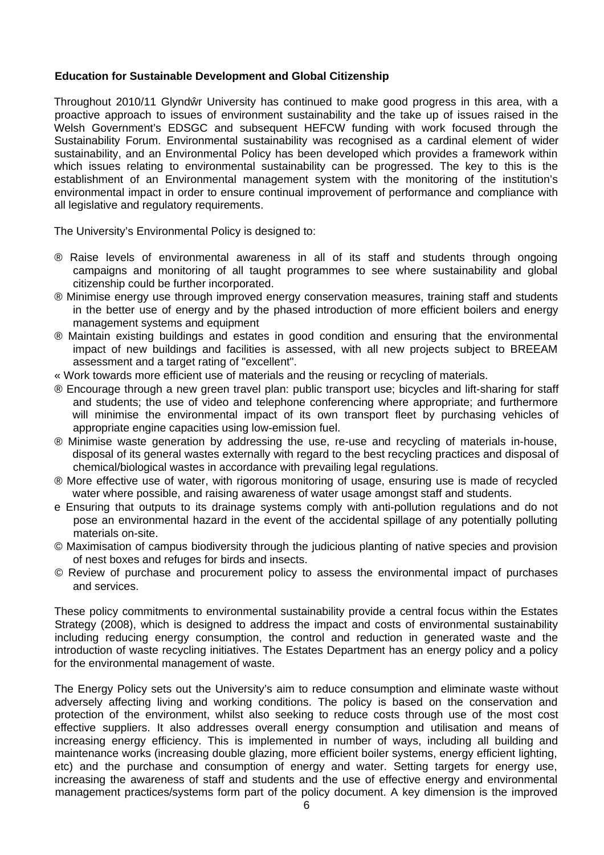# **Education for Sustainable Development and Global Citizenship**

Throughout 2010/11 Glynd r University has continued to make good progress in this area, with a proactive approach to issues of environment sustainability and the take up of issues raised in the Welsh Government's EDSGC and subsequent HEFCW funding with work focused through the Sustainability Forum. Environmental sustainability was recognised as a cardinal element of wider sustainability, and an Environmental Policy has been developed which provides a framework within which issues relating to environmental sustainability can be progressed. The key to this is the establishment of an Environmental management system with the monitoring of the institution's environmental impact in order to ensure continual improvement of performance and compliance with all legislative and regulatory requirements.

The University's Environmental Policy is designed to:

- ® Raise levels of environmental awareness in all of its staff and students through ongoing campaigns and monitoring of all taught programmes to see where sustainability and global citizenship could be further incorporated.
- ® Minimise energy use through improved energy conservation measures, training staff and students in the better use of energy and by the phased introduction of more efficient boilers and energy management systems and equipment
- ® Maintain existing buildings and estates in good condition and ensuring that the environmental impact of new buildings and facilities is assessed, with all new projects subject to BREEAM assessment and a target rating of "excellent".
- « Work towards more efficient use of materials and the reusing or recycling of materials.
- ® Encourage through a new green travel plan: public transport use; bicycles and lift-sharing for staff and students; the use of video and telephone conferencing where appropriate; and furthermore will minimise the environmental impact of its own transport fleet by purchasing vehicles of appropriate engine capacities using low-emission fuel.
- ® Minimise waste generation by addressing the use, re-use and recycling of materials in-house, disposal of its general wastes externally with regard to the best recycling practices and disposal of chemical/biological wastes in accordance with prevailing legal regulations.
- ® More effective use of water, with rigorous monitoring of usage, ensuring use is made of recycled water where possible, and raising awareness of water usage amongst staff and students.
- e Ensuring that outputs to its drainage systems comply with anti-pollution regulations and do not pose an environmental hazard in the event of the accidental spillage of any potentially polluting materials on-site.
- © Maximisation of campus biodiversity through the judicious planting of native species and provision of nest boxes and refuges for birds and insects.
- © Review of purchase and procurement policy to assess the environmental impact of purchases and services.

These policy commitments to environmental sustainability provide a central focus within the Estates Strategy (2008), which is designed to address the impact and costs of environmental sustainability including reducing energy consumption, the control and reduction in generated waste and the introduction of waste recycling initiatives. The Estates Department has an energy policy and a policy for the environmental management of waste.

The Energy Policy sets out the University's aim to reduce consumption and eliminate waste without adversely affecting living and working conditions. The policy is based on the conservation and protection of the environment, whilst also seeking to reduce costs through use of the most cost effective suppliers. It also addresses overall energy consumption and utilisation and means of increasing energy efficiency. This is implemented in number of ways, including all building and maintenance works (increasing double glazing, more efficient boiler systems, energy efficient lighting, etc) and the purchase and consumption of energy and water. Setting targets for energy use, increasing the awareness of staff and students and the use of effective energy and environmental management practices/systems form part of the policy document. A key dimension is the improved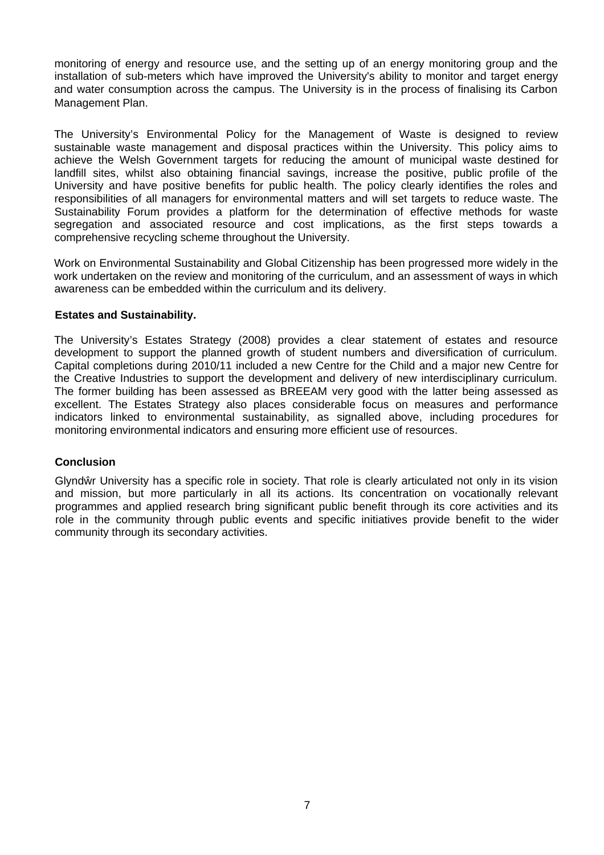monitoring of energy and resource use, and the setting up of an energy monitoring group and the installation of sub-meters which have improved the University's ability to monitor and target energy and water consumption across the campus. The University is in the process of finalising its Carbon Management Plan.

The University's Environmental Policy for the Management of Waste is designed to review sustainable waste management and disposal practices within the University. This policy aims to achieve the Welsh Government targets for reducing the amount of municipal waste destined for landfill sites, whilst also obtaining financial savings, increase the positive, public profile of the University and have positive benefits for public health. The policy clearly identifies the roles and responsibilities of all managers for environmental matters and will set targets to reduce waste. The Sustainability Forum provides a platform for the determination of effective methods for waste segregation and associated resource and cost implications, as the first steps towards a comprehensive recycling scheme throughout the University.

Work on Environmental Sustainability and Global Citizenship has been progressed more widely in the work undertaken on the review and monitoring of the curriculum, and an assessment of ways in which awareness can be embedded within the curriculum and its delivery.

# **Estates and Sustainability.**

The University's Estates Strategy (2008) provides a clear statement of estates and resource development to support the planned growth of student numbers and diversification of curriculum. Capital completions during 2010/11 included a new Centre for the Child and a major new Centre for the Creative Industries to support the development and delivery of new interdisciplinary curriculum. The former building has been assessed as BREEAM very good with the latter being assessed as excellent. The Estates Strategy also places considerable focus on measures and performance indicators linked to environmental sustainability, as signalled above, including procedures for monitoring environmental indicators and ensuring more efficient use of resources.

# **Conclusion**

Glynd r University has a specific role in society. That role is clearly articulated not only in its vision and mission, but more particularly in all its actions. Its concentration on vocationally relevant programmes and applied research bring significant public benefit through its core activities and its role in the community through public events and specific initiatives provide benefit to the wider community through its secondary activities.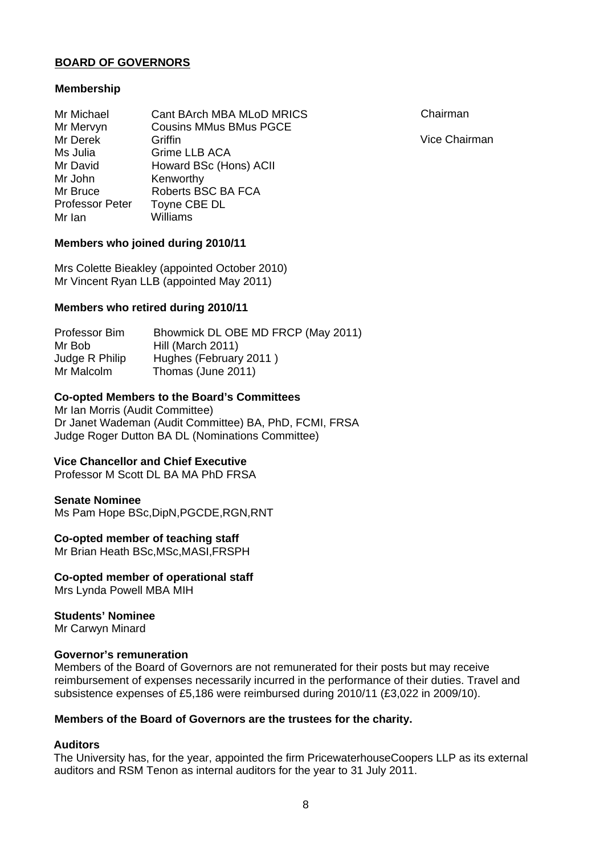# **BOARD OF GOVERNORS**

### **Membership**

| Mr Michael             | Cant BArch MBA MLoD MRICS     |
|------------------------|-------------------------------|
| Mr Mervyn              | <b>Cousins MMus BMus PGCE</b> |
| Mr Derek               | Griffin                       |
| Ms Julia               | Grime LLB ACA                 |
| Mr David               | Howard BSc (Hons) ACII        |
| Mr John                | Kenworthy                     |
| Mr Bruce               | Roberts BSC BA FCA            |
| <b>Professor Peter</b> | Toyne CBE DL                  |
| Mr Ian                 | Williams                      |

Chairman

Vice Chairman

# **Members who joined during 2010/11**

Mrs Colette Bieakley (appointed October 2010) Mr Vincent Ryan LLB (appointed May 2011)

### **Members who retired during 2010/11**

Professor Bim Mr Bob Judge R Philip Mr Malcolm Bhowmick DL OBE MD FRCP (May 2011) Hill (March 2011) Hughes (February 2011 ) Thomas (June 2011)

### **Co-opted Members to the Board's Committees**

Mr Ian Morris (Audit Committee) Dr Janet Wademan (Audit Committee) BA, PhD, FCMI, FRSA Judge Roger Dutton BA DL (Nominations Committee)

### **Vice Chancellor and Chief Executive**

Professor M Scott DL BA MA PhD FRSA

### **Senate Nominee**

Ms Pam Hope BSc,DipN,PGCDE,RGN,RNT

### **Co-opted member of teaching staff**

Mr Brian Heath BSc,MSc,MASI,FRSPH

### **Co-opted member of operational staff**

Mrs Lynda Powell MBA MIH

### **Students' Nominee**

Mr Carwyn Minard

### **Governor's remuneration**

Members of the Board of Governors are not remunerated for their posts but may receive reimbursement of expenses necessarily incurred in the performance of their duties. Travel and subsistence expenses of £5,186 were reimbursed during 2010/11 (£3,022 in 2009/10).

### **Members of the Board of Governors are the trustees for the charity.**

### **Auditors**

The University has, for the year, appointed the firm PricewaterhouseCoopers LLP as its external auditors and RSM Tenon as internal auditors for the year to 31 July 2011.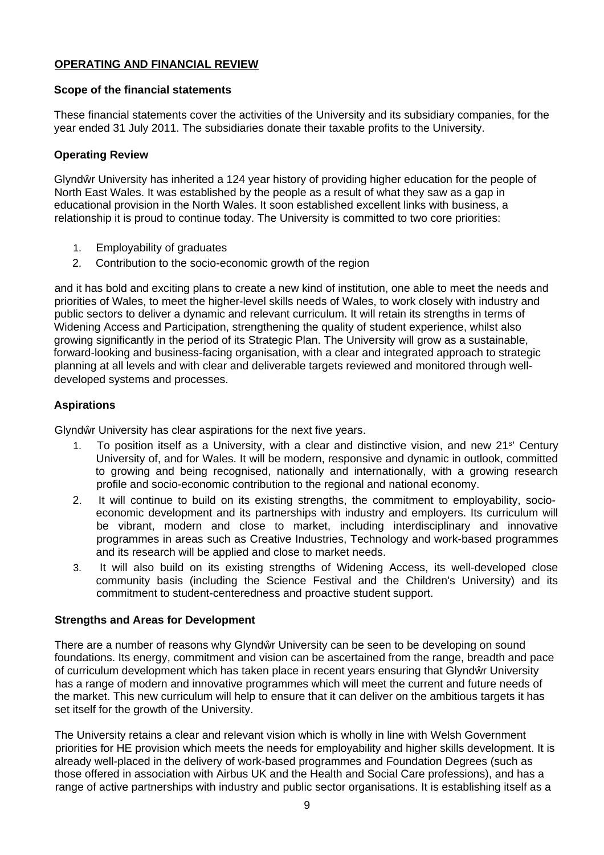# **OPERATING AND FINANCIAL REVIEW**

# **Scope of the financial statements**

These financial statements cover the activities of the University and its subsidiary companies, for the year ended 31 July 2011. The subsidiaries donate their taxable profits to the University.

# **Operating Review**

Glynd r University has inherited a 124 year history of providing higher education for the people of North East Wales. It was established by the people as a result of what they saw as a gap in educational provision in the North Wales. It soon established excellent links with business, a relationship it is proud to continue today. The University is committed to two core priorities:

- 1. Employability of graduates
- 2. Contribution to the socio-economic growth of the region

and it has bold and exciting plans to create a new kind of institution, one able to meet the needs and priorities of Wales, to meet the higher-level skills needs of Wales, to work closely with industry and public sectors to deliver a dynamic and relevant curriculum. It will retain its strengths in terms of Widening Access and Participation, strengthening the quality of student experience, whilst also growing significantly in the period of its Strategic Plan. The University will grow as a sustainable, forward-looking and business-facing organisation, with a clear and integrated approach to strategic planning at all levels and with clear and deliverable targets reviewed and monitored through welldeveloped systems and processes.

# **Aspirations**

Glynd r University has clear aspirations for the next five years.

- 1. To position itself as a University, with a clear and distinctive vision, and new 21<sup>s</sup> ' Century University of, and for Wales. It will be modern, responsive and dynamic in outlook, committed to growing and being recognised, nationally and internationally, with a growing research profile and socio-economic contribution to the regional and national economy.
- 2. It will continue to build on its existing strengths, the commitment to employability, socioeconomic development and its partnerships with industry and employers. Its curriculum will be vibrant, modern and close to market, including interdisciplinary and innovative programmes in areas such as Creative Industries, Technology and work-based programmes and its research will be applied and close to market needs.
- 3. It will also build on its existing strengths of Widening Access, its well-developed close community basis (including the Science Festival and the Children's University) and its commitment to student-centeredness and proactive student support.

# **Strengths and Areas for Development**

There are a number of reasons why Glynd r University can be seen to be developing on sound foundations. Its energy, commitment and vision can be ascertained from the range, breadth and pace of curriculum development which has taken place in recent years ensuring that Glynd r University has a range of modern and innovative programmes which will meet the current and future needs of the market. This new curriculum will help to ensure that it can deliver on the ambitious targets it has set itself for the growth of the University.

The University retains a clear and relevant vision which is wholly in line with Welsh Government priorities for HE provision which meets the needs for employability and higher skills development. It is already well-placed in the delivery of work-based programmes and Foundation Degrees (such as those offered in association with Airbus UK and the Health and Social Care professions), and has a range of active partnerships with industry and public sector organisations. It is establishing itself as a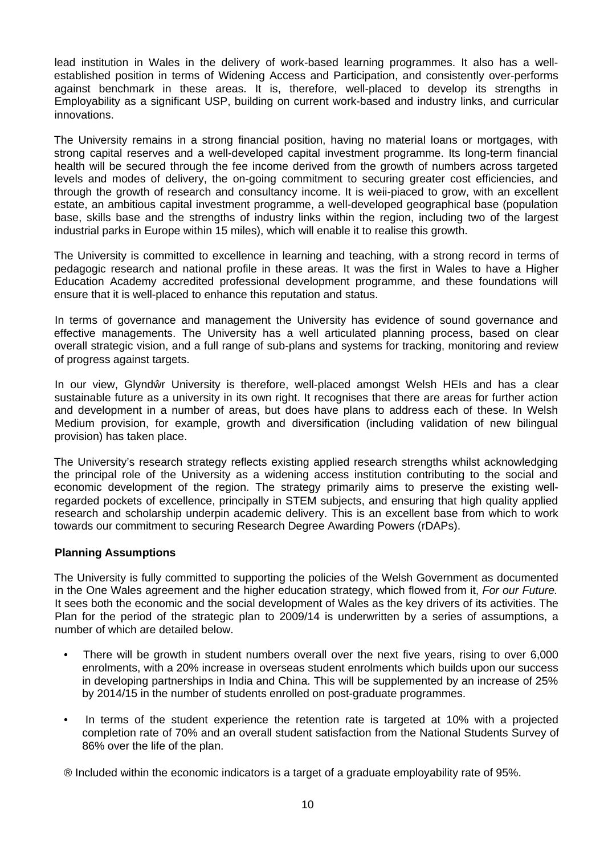lead institution in Wales in the delivery of work-based learning programmes. It also has a wellestablished position in terms of Widening Access and Participation, and consistently over-performs against benchmark in these areas. It is, therefore, well-placed to develop its strengths in Employability as a significant USP, building on current work-based and industry links, and curricular innovations.

The University remains in a strong financial position, having no material loans or mortgages, with strong capital reserves and a well-developed capital investment programme. Its long-term financial health will be secured through the fee income derived from the growth of numbers across targeted levels and modes of delivery, the on-going commitment to securing greater cost efficiencies, and through the growth of research and consultancy income. It is weii-piaced to grow, with an excellent estate, an ambitious capital investment programme, a well-developed geographical base (population base, skills base and the strengths of industry links within the region, including two of the largest industrial parks in Europe within 15 miles), which will enable it to realise this growth.

The University is committed to excellence in learning and teaching, with a strong record in terms of pedagogic research and national profile in these areas. It was the first in Wales to have a Higher Education Academy accredited professional development programme, and these foundations will ensure that it is well-placed to enhance this reputation and status.

In terms of governance and management the University has evidence of sound governance and effective managements. The University has a well articulated planning process, based on clear overall strategic vision, and a full range of sub-plans and systems for tracking, monitoring and review of progress against targets.

In our view, Glynd r University is therefore, well-placed amongst Welsh HEIs and has a clear sustainable future as a university in its own right. It recognises that there are areas for further action and development in a number of areas, but does have plans to address each of these. In Welsh Medium provision, for example, growth and diversification (including validation of new bilingual provision) has taken place.

The University's research strategy reflects existing applied research strengths whilst acknowledging the principal role of the University as a widening access institution contributing to the social and economic development of the region. The strategy primarily aims to preserve the existing wellregarded pockets of excellence, principally in STEM subjects, and ensuring that high quality applied research and scholarship underpin academic delivery. This is an excellent base from which to work towards our commitment to securing Research Degree Awarding Powers (rDAPs).

# **Planning Assumptions**

The University is fully committed to supporting the policies of the Welsh Government as documented in the One Wales agreement and the higher education strategy, which flowed from it, *For our Future.* It sees both the economic and the social development of Wales as the key drivers of its activities. The Plan for the period of the strategic plan to 2009/14 is underwritten by a series of assumptions, a number of which are detailed below.

- There will be growth in student numbers overall over the next five years, rising to over 6,000 enrolments, with a 20% increase in overseas student enrolments which builds upon our success in developing partnerships in India and China. This will be supplemented by an increase of 25% by 2014/15 in the number of students enrolled on post-graduate programmes.
- In terms of the student experience the retention rate is targeted at 10% with a projected completion rate of 70% and an overall student satisfaction from the National Students Survey of 86% over the life of the plan.

® Included within the economic indicators is a target of a graduate employability rate of 95%.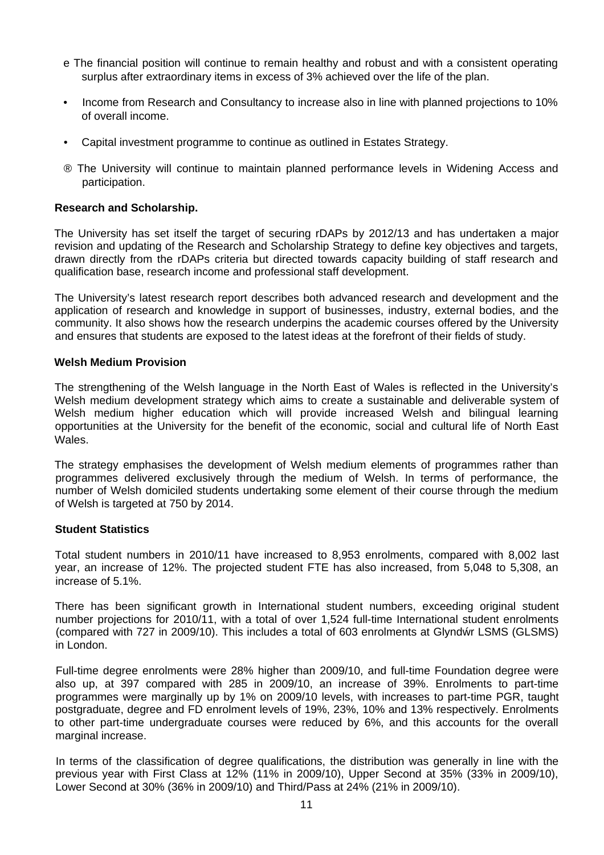- e The financial position will continue to remain healthy and robust and with a consistent operating surplus after extraordinary items in excess of 3% achieved over the life of the plan.
- Income from Research and Consultancy to increase also in line with planned projections to 10% of overall income.
- Capital investment programme to continue as outlined in Estates Strategy.
- ® The University will continue to maintain planned performance levels in Widening Access and participation.

### **Research and Scholarship.**

The University has set itself the target of securing rDAPs by 2012/13 and has undertaken a major revision and updating of the Research and Scholarship Strategy to define key objectives and targets, drawn directly from the rDAPs criteria but directed towards capacity building of staff research and qualification base, research income and professional staff development.

The University's latest research report describes both advanced research and development and the application of research and knowledge in support of businesses, industry, external bodies, and the community. It also shows how the research underpins the academic courses offered by the University and ensures that students are exposed to the latest ideas at the forefront of their fields of study.

### **Welsh Medium Provision**

The strengthening of the Welsh language in the North East of Wales is reflected in the University's Welsh medium development strategy which aims to create a sustainable and deliverable system of Welsh medium higher education which will provide increased Welsh and bilingual learning opportunities at the University for the benefit of the economic, social and cultural life of North East Wales.

The strategy emphasises the development of Welsh medium elements of programmes rather than programmes delivered exclusively through the medium of Welsh. In terms of performance, the number of Welsh domiciled students undertaking some element of their course through the medium of Welsh is targeted at 750 by 2014.

### **Student Statistics**

Total student numbers in 2010/11 have increased to 8,953 enrolments, compared with 8,002 last year, an increase of 12%. The projected student FTE has also increased, from 5,048 to 5,308, an increase of 5.1%.

There has been significant growth in International student numbers, exceeding original student number projections for 2010/11, with a total of over 1,524 full-time International student enrolments (compared with 727 in 2009/10). This includes a total of 603 enrolments at Glynd r LSMS (GLSMS) in London.

Full-time degree enrolments were 28% higher than 2009/10, and full-time Foundation degree were also up, at 397 compared with 285 in 2009/10, an increase of 39%. Enrolments to part-time programmes were marginally up by 1% on 2009/10 levels, with increases to part-time PGR, taught postgraduate, degree and FD enrolment levels of 19%, 23%, 10% and 13% respectively. Enrolments to other part-time undergraduate courses were reduced by 6%, and this accounts for the overall marginal increase.

In terms of the classification of degree qualifications, the distribution was generally in line with the previous year with First Class at 12% (11% in 2009/10), Upper Second at 35% (33% in 2009/10), Lower Second at 30% (36% in 2009/10) and Third/Pass at 24% (21% in 2009/10).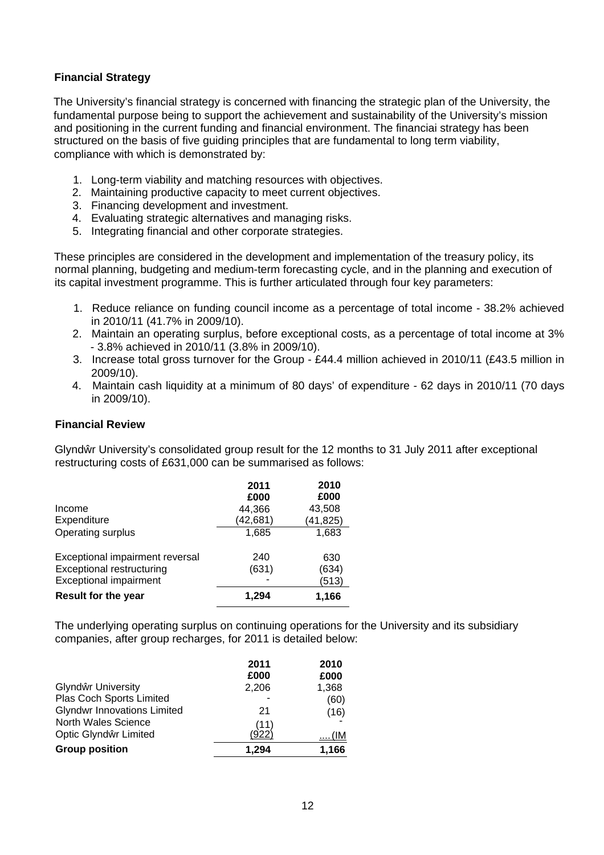# **Financial Strategy**

The University's financial strategy is concerned with financing the strategic plan of the University, the fundamental purpose being to support the achievement and sustainability of the University's mission and positioning in the current funding and financial environment. The financiai strategy has been structured on the basis of five guiding principles that are fundamental to long term viability, compliance with which is demonstrated by:

- 1. Long-term viability and matching resources with objectives.
- 2. Maintaining productive capacity to meet current objectives.
- 3. Financing development and investment.
- 4. Evaluating strategic alternatives and managing risks.
- 5. Integrating financial and other corporate strategies.

These principles are considered in the development and implementation of the treasury policy, its normal planning, budgeting and medium-term forecasting cycle, and in the planning and execution of its capital investment programme. This is further articulated through four key parameters:

- 1. Reduce reliance on funding council income as a percentage of total income 38.2% achieved in 2010/11 (41.7% in 2009/10).
- 2. Maintain an operating surplus, before exceptional costs, as a percentage of total income at 3% - 3.8% achieved in 2010/11 (3.8% in 2009/10).
- 3. Increase total gross turnover for the Group £44.4 million achieved in 2010/11 (£43.5 million in 2009/10).
- 4. Maintain cash liquidity at a minimum of 80 days' of expenditure 62 days in 2010/11 (70 days in 2009/10).

### **Financial Review**

Glynd r University's consolidated group result for the 12 months to 31 July 2011 after exceptional restructuring costs of £631,000 can be summarised as follows:

| Income                           | 2011<br>£000<br>44,366 | 2010<br>£000<br>43,508 |
|----------------------------------|------------------------|------------------------|
| Expenditure                      | (42,681)               | (41, 825)              |
| Operating surplus                | 1,685                  | 1,683                  |
| Exceptional impairment reversal  | 240                    | 630                    |
| <b>Exceptional restructuring</b> | (631)                  | (634)                  |
| <b>Exceptional impairment</b>    |                        | (513)                  |
| <b>Result for the year</b>       | 1.294                  | 1,166                  |

The underlying operating surplus on continuing operations for the University and its subsidiary companies, after group recharges, for 2011 is detailed below:

|                                    | 2011<br>£000  | 2010<br>£000 |
|------------------------------------|---------------|--------------|
| Glynd r University                 | 2,206         | 1,368        |
| Plas Coch Sports Limited           |               | (60)         |
| <b>Glyndwr Innovations Limited</b> | 21            | (16)         |
| North Wales Science                |               |              |
| Optic Glynd r Limited              | (11)<br>'922) | <u> (IM</u>  |
| <b>Group position</b>              | 1.294         | 1,166        |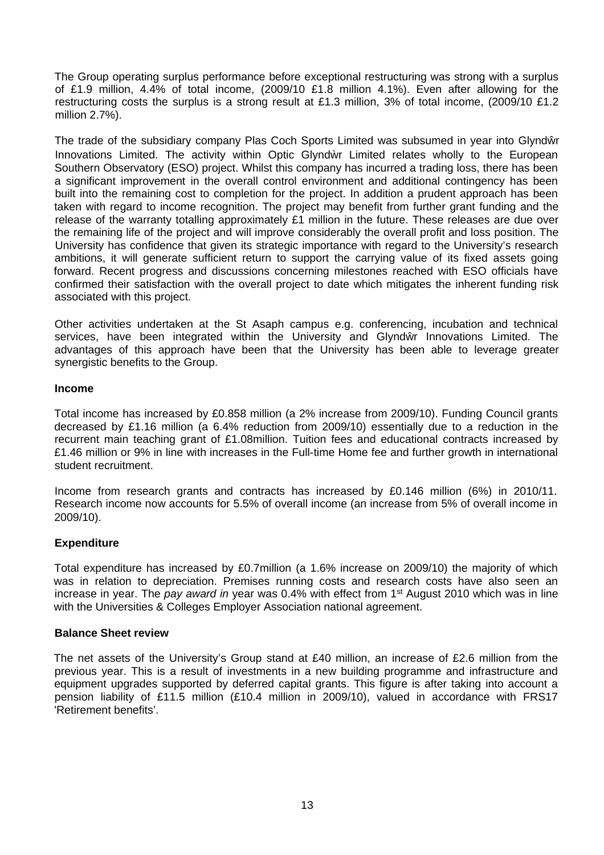The Group operating surplus performance before exceptional restructuring was strong with a surplus of £1.9 million, 4.4% of total income, (2009/10 £1.8 million 4.1%). Even after allowing for the restructuring costs the surplus is a strong result at £1.3 million, 3% of total income, (2009/10 £1.2 million 2.7%).

The trade of the subsidiary company Plas Coch Sports Limited was subsumed in year into Glynd r Innovations Limited. The activity within Optic Glynd r Limited relates wholly to the European Southern Observatory (ESO) project. Whilst this company has incurred a trading loss, there has been a significant improvement in the overall control environment and additional contingency has been built into the remaining cost to completion for the project. In addition a prudent approach has been taken with regard to income recognition. The project may benefit from further grant funding and the release of the warranty totalling approximately  $£1$  million in the future. These releases are due over the remaining life of the project and will improve considerably the overall profit and loss position. The University has confidence that given its strategic importance with regard to the University's research ambitions, it will generate sufficient return to support the carrying value of its fixed assets going forward. Recent progress and discussions concerning milestones reached with ESO officials have confirmed their satisfaction with the overall project to date which mitigates the inherent funding risk associated with this project.

Other activities undertaken at the St Asaph campus e.g. conferencing, incubation and technical services, have been integrated within the University and Glynd r Innovations Limited. The advantages of this approach have been that the University has been able to leverage greater synergistic benefits to the Group.

### **Income**

Total income has increased by £0.858 million (a 2% increase from 2009/10). Funding Council grants decreased by £1.16 million (a 6.4% reduction from 2009/10) essentially due to a reduction in the recurrent main teaching grant of £1.08million. Tuition fees and educational contracts increased by £1.46 million or 9% in line with increases in the Full-time Home fee and further growth in international student recruitment.

Income from research grants and contracts has increased by £0.146 million (6%) in 2010/11. Research income now accounts for 5.5% of overall income (an increase from 5% of overall income in 2009/10).

# **Expenditure**

Total expenditure has increased by £0.7million (a 1.6% increase on 2009/10) the majority of which was in relation to depreciation. Premises running costs and research costs have also seen an increase in year. The *pay award in* year was 0.4% with effect from 1st August 2010 which was in line with the Universities & Colleges Employer Association national agreement.

### **Balance Sheet review**

The net assets of the University's Group stand at £40 million, an increase of £2.6 million from the previous year. This is a result of investments in a new building programme and infrastructure and equipment upgrades supported by deferred capital grants. This figure is after taking into account a pension liability of £11.5 million (£10.4 million in 2009/10), valued in accordance with FRS17 'Retirement benefits'.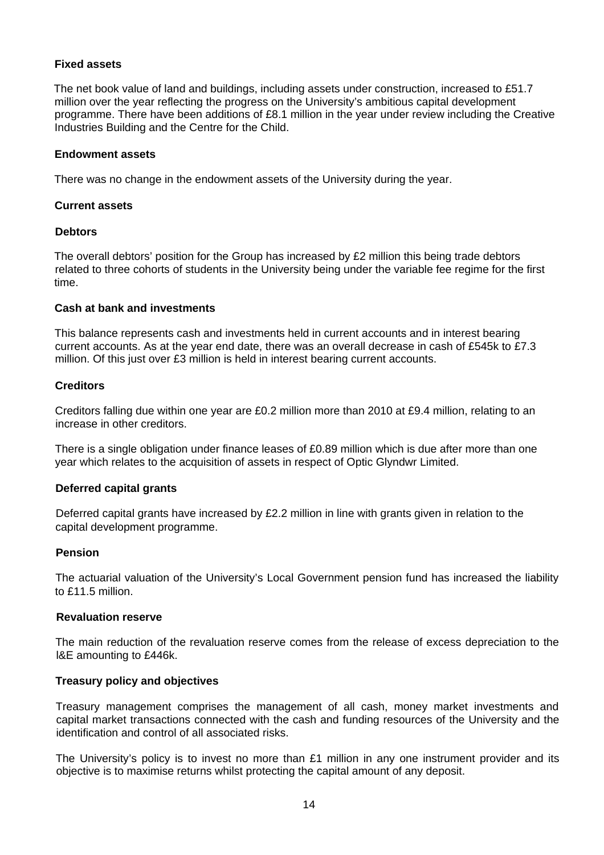# **Fixed assets**

The net book value of land and buildings, including assets under construction, increased to £51.7 million over the year reflecting the progress on the University's ambitious capital development programme. There have been additions of £8.1 million in the year under review including the Creative Industries Building and the Centre for the Child.

### **Endowment assets**

There was no change in the endowment assets of the University during the year.

### **Current assets**

### **Debtors**

The overall debtors' position for the Group has increased by £2 million this being trade debtors related to three cohorts of students in the University being under the variable fee regime for the first time.

### **Cash at bank and investments**

This balance represents cash and investments held in current accounts and in interest bearing current accounts. As at the year end date, there was an overall decrease in cash of £545k to £7.3 million. Of this just over £3 million is held in interest bearing current accounts.

# **Creditors**

Creditors falling due within one year are £0.2 million more than 2010 at £9.4 million, relating to an increase in other creditors.

There is a single obligation under finance leases of £0.89 million which is due after more than one year which relates to the acquisition of assets in respect of Optic Glyndwr Limited.

# **Deferred capital grants**

Deferred capital grants have increased by £2.2 million in line with grants given in relation to the capital development programme.

# **Pension**

The actuarial valuation of the University's Local Government pension fund has increased the liability to £11.5 million.

### **Revaluation reserve**

The main reduction of the revaluation reserve comes from the release of excess depreciation to the l&E amounting to £446k.

### **Treasury policy and objectives**

Treasury management comprises the management of all cash, money market investments and capital market transactions connected with the cash and funding resources of the University and the identification and control of all associated risks.

The University's policy is to invest no more than  $£1$  million in any one instrument provider and its objective is to maximise returns whilst protecting the capital amount of any deposit.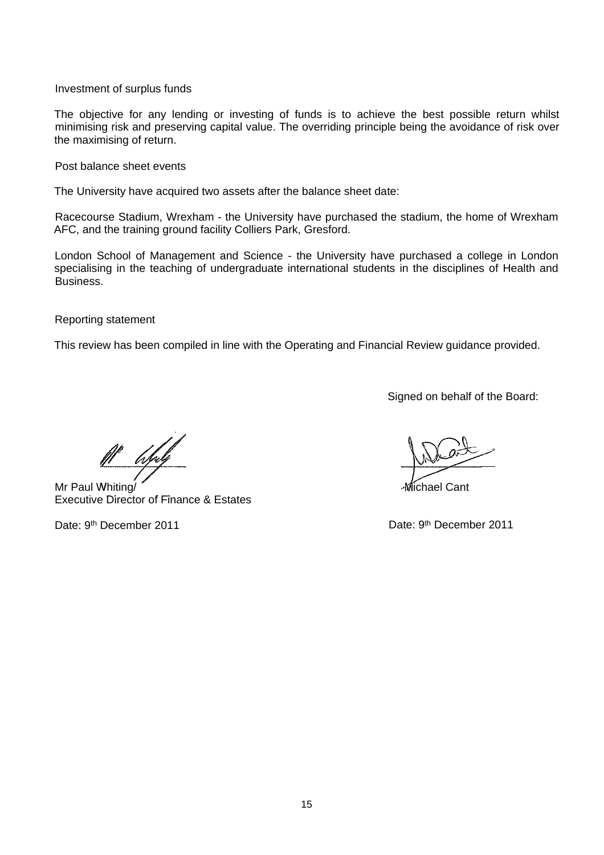Investment of surplus funds

The objective for any lending or investing of funds is to achieve the best possible return whilst minimising risk and preserving capital value. The overriding principle being the avoidance of risk over the maximising of return.

Post balance sheet events

The University have acquired two assets after the balance sheet date:

Racecourse Stadium, Wrexham - the University have purchased the stadium, the home of Wrexham AFC, and the training ground facility Colliers Park, Gresford.

London School of Management and Science - the University have purchased a college in London specialising in the teaching of undergraduate international students in the disciplines of Health and Business.

Reporting statement

This review has been compiled in line with the Operating and Financial Review guidance provided.

Signed on behalf of the Board:

Mr Paul Whiting/ Executive Director of Finance & Estates

Michael Cant

Date: 9<sup>th</sup> December 2011 **Date: 9th December 2011**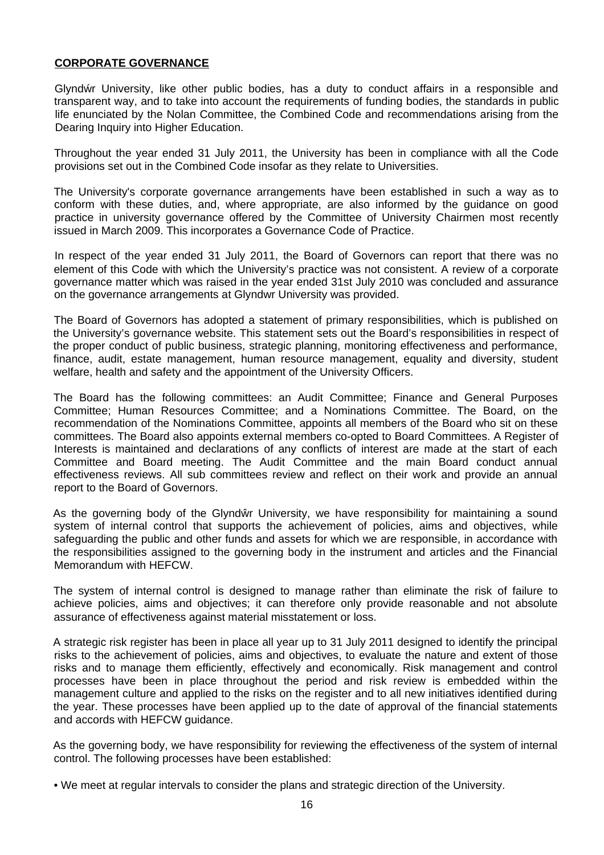### <span id="page-16-0"></span>**CORPORATE GOVERNANCE**

Glynd r University, like other public bodies, has a duty to conduct affairs in a responsible and transparent way, and to take into account the requirements of funding bodies, the standards in public life enunciated by the Nolan Committee, the Combined Code and recommendations arising from the Dearing Inquiry into Higher Education.

Throughout the year ended 31 July 2011, the University has been in compliance with all the Code provisions set out in the Combined Code insofar as they relate to Universities.

The University's corporate governance arrangements have been established in such a way as to conform with these duties, and, where appropriate, are also informed by the guidance on good practice in university governance offered by the Committee of University Chairmen most recently issued in March 2009. This incorporates a Governance Code of Practice.

In respect of the year ended 31 July 2011, the Board of Governors can report that there was no element of this Code with which the University's practice was not consistent. A review of a corporate governance matter which was raised in the year ended 31st July 2010 was concluded and assurance on the governance arrangements at Glyndwr University was provided.

The Board of Governors has adopted a statement of primary responsibilities, which is published on the University's governance website. This statement sets out the Board's responsibilities in respect of the proper conduct of public business, strategic planning, monitoring effectiveness and performance, finance, audit, estate management, human resource management, equality and diversity, student welfare, health and safety and the appointment of the University Officers.

The Board has the following committees: an Audit Committee; Finance and General Purposes Committee; Human Resources Committee; and a Nominations Committee. The Board, on the recommendation of the Nominations Committee, appoints all members of the Board who sit on these committees. The Board also appoints external members co-opted to Board Committees. A Register of Interests is maintained and declarations of any conflicts of interest are made at the start of each Committee and Board meeting. The Audit Committee and the main Board conduct annual effectiveness reviews. All sub committees review and reflect on their work and provide an annual report to the Board of Governors.

As the governing body of the Glynd r University, we have responsibility for maintaining a sound system of internal control that supports the achievement of policies, aims and objectives, while safeguarding the public and other funds and assets for which we are responsible, in accordance with the responsibilities assigned to the governing body in the instrument and articles and the Financial Memorandum with HEFCW.

The system of internal control is designed to manage rather than eliminate the risk of failure to achieve policies, aims and objectives; it can therefore only provide reasonable and not absolute assurance of effectiveness against material misstatement or loss.

A strategic risk register has been in place all year up to 31 July 2011 designed to identify the principal risks to the achievement of policies, aims and objectives, to evaluate the nature and extent of those risks and to manage them efficiently, effectively and economically. Risk management and control processes have been in place throughout the period and risk review is embedded within the management culture and applied to the risks on the register and to all new initiatives identified during the year. These processes have been applied up to the date of approval of the financial statements and accords with HEFCW guidance.

As the governing body, we have responsibility for reviewing the effectiveness of the system of internal control. The following processes have been established:

• We meet at regular intervals to consider the plans and strategic direction of the University.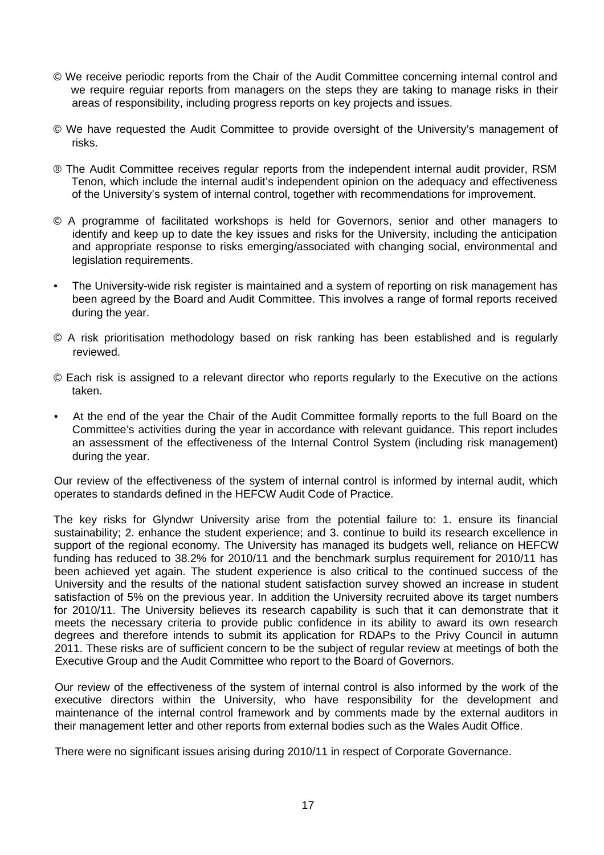- © We receive periodic reports from the Chair of the Audit Committee concerning internal control and we require reguiar reports from managers on the steps they are taking to manage risks in their areas of responsibility, including progress reports on key projects and issues.
- © We have requested the Audit Committee to provide oversight of the University's management of risks.
- ® The Audit Committee receives regular reports from the independent internal audit provider, RSM Tenon, which include the internal audit's independent opinion on the adequacy and effectiveness of the University's system of internal control, together with recommendations for improvement.
- © A programme of facilitated workshops is held for Governors, senior and other managers to identify and keep up to date the key issues and risks for the University, including the anticipation and appropriate response to risks emerging/associated with changing social, environmental and legislation requirements.
- The University-wide risk register is maintained and a system of reporting on risk management has been agreed by the Board and Audit Committee. This involves a range of formal reports received during the year.
- © A risk prioritisation methodology based on risk ranking has been established and is regularly reviewed.
- © Each risk is assigned to a relevant director who reports regularly to the Executive on the actions taken.
- At the end of the year the Chair of the Audit Committee formally reports to the full Board on the Committee's activities during the year in accordance with relevant guidance. This report includes an assessment of the effectiveness of the Internal Control System (including risk management) during the year.

Our review of the effectiveness of the system of internal control is informed by internal audit, which operates to standards defined in the HEFCW Audit Code of Practice.

The key risks for Glyndwr University arise from the potential failure to: 1. ensure its financial sustainability; 2. enhance the student experience; and 3. continue to build its research excellence in support of the regional economy. The University has managed its budgets well, reliance on HEFCW funding has reduced to 38.2% for 2010/11 and the benchmark surplus requirement for 2010/11 has been achieved yet again. The student experience is also critical to the continued success of the University and the results of the national student satisfaction survey showed an increase in student satisfaction of 5% on the previous year. In addition the University recruited above its target numbers for 2010/11. The University believes its research capability is such that it can demonstrate that it meets the necessary criteria to provide public confidence in its ability to award its own research degrees and therefore intends to submit its application for RDAPs to the Privy Council in autumn 2011. These risks are of sufficient concern to be the subject of regular review at meetings of both the Executive Group and the Audit Committee who report to the Board of Governors.

Our review of the effectiveness of the system of internal control is also informed by the work of the executive directors within the University, who have responsibility for the development and maintenance of the internal control framework and by comments made by the external auditors in their management letter and other reports from external bodies such as the Wales Audit Office.

There were no significant issues arising during 2010/11 in respect of Corporate Governance.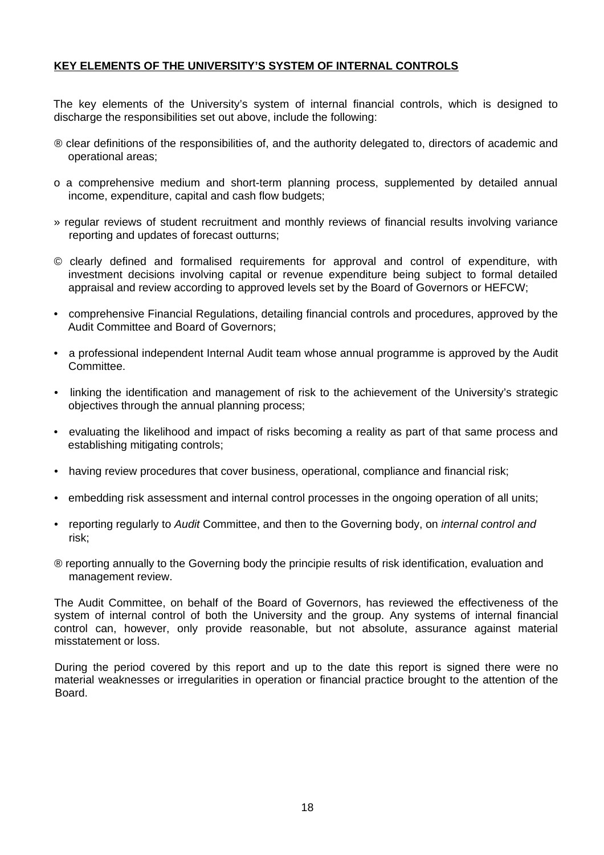# <span id="page-18-0"></span>**KEY ELEMENTS OF THE UNIVERSITY'S SYSTEM OF INTERNAL CONTROLS**

The key elements of the University's system of internal financial controls, which is designed to discharge the responsibilities set out above, include the following:

- ® clear definitions of the responsibilities of, and the authority delegated to, directors of academic and operational areas;
- o a comprehensive medium and short-term planning process, supplemented by detailed annual income, expenditure, capital and cash flow budgets;
- » regular reviews of student recruitment and monthly reviews of financial results involving variance reporting and updates of forecast outturns;
- © clearly defined and formalised requirements for approval and control of expenditure, with investment decisions involving capital or revenue expenditure being subject to formal detailed appraisal and review according to approved levels set by the Board of Governors or HEFCW;
- comprehensive Financial Regulations, detailing financial controls and procedures, approved by the Audit Committee and Board of Governors;
- a professional independent Internal Audit team whose annual programme is approved by the Audit Committee.
- linking the identification and management of risk to the achievement of the University's strategic objectives through the annual planning process;
- evaluating the likelihood and impact of risks becoming a reality as part of that same process and establishing mitigating controls;
- having review procedures that cover business, operational, compliance and financial risk;
- embedding risk assessment and internal control processes in the ongoing operation of all units;
- reporting regularly to *Audit* Committee, and then to the Governing body, on *internal control and* risk;
- ® reporting annually to the Governing body the principie results of risk identification, evaluation and management review.

The Audit Committee, on behalf of the Board of Governors, has reviewed the effectiveness of the system of internal control of both the University and the group. Any systems of internal financial control can, however, only provide reasonable, but not absolute, assurance against material misstatement or loss.

During the period covered by this report and up to the date this report is signed there were no material weaknesses or irregularities in operation or financial practice brought to the attention of the Board.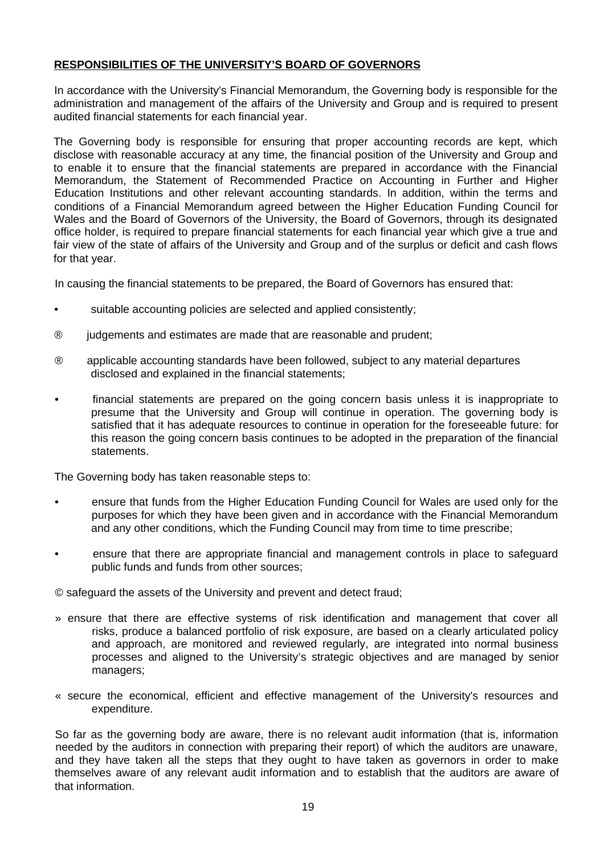# <span id="page-19-0"></span>**RESPONSIBILITIES OF THE UNIVERSITY'S BOARD OF GOVERNORS**

In accordance with the University's Financial Memorandum, the Governing body is responsible for the administration and management of the affairs of the University and Group and is required to present audited financial statements for each financial year.

The Governing body is responsible for ensuring that proper accounting records are kept, which disclose with reasonable accuracy at any time, the financial position of the University and Group and to enable it to ensure that the financial statements are prepared in accordance with the Financial Memorandum, the Statement of Recommended Practice on Accounting in Further and Higher Education Institutions and other relevant accounting standards. In addition, within the terms and conditions of a Financial Memorandum agreed between the Higher Education Funding Council for Wales and the Board of Governors of the University, the Board of Governors, through its designated office holder, is required to prepare financial statements for each financial year which give a true and fair view of the state of affairs of the University and Group and of the surplus or deficit and cash flows for that year.

In causing the financial statements to be prepared, the Board of Governors has ensured that:

- suitable accounting policies are selected and applied consistently;
- ® judgements and estimates are made that are reasonable and prudent;
- ® applicable accounting standards have been followed, subject to any material departures disclosed and explained in the financial statements;
- financial statements are prepared on the going concern basis unless it is inappropriate to presume that the University and Group will continue in operation. The governing body is satisfied that it has adequate resources to continue in operation for the foreseeable future: for this reason the going concern basis continues to be adopted in the preparation of the financial statements.

The Governing body has taken reasonable steps to:

- ensure that funds from the Higher Education Funding Council for Wales are used only for the purposes for which they have been given and in accordance with the Financial Memorandum and any other conditions, which the Funding Council may from time to time prescribe;
- ensure that there are appropriate financial and management controls in place to safeguard public funds and funds from other sources;

© safeguard the assets of the University and prevent and detect fraud;

- » ensure that there are effective systems of risk identification and management that cover all risks, produce a balanced portfolio of risk exposure, are based on a clearly articulated policy and approach, are monitored and reviewed regularly, are integrated into normal business processes and aligned to the University's strategic objectives and are managed by senior managers;
- « secure the economical, efficient and effective management of the University's resources and expenditure.

So far as the governing body are aware, there is no relevant audit information (that is, information needed by the auditors in connection with preparing their report) of which the auditors are unaware, and they have taken all the steps that they ought to have taken as governors in order to make themselves aware of any relevant audit information and to establish that the auditors are aware of that information.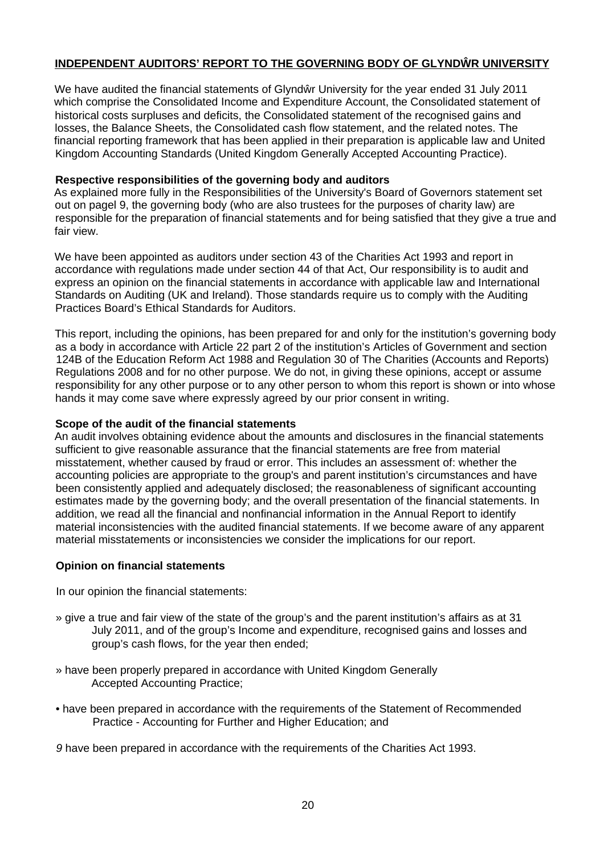# INDEPENDENT AUDITORS' REPORT TO THE GOVERNING BODY OF GLYND RUNIVERSITY

We have audited the financial statements of Glynd r University for the year ended 31 July 2011 which comprise the Consolidated Income and Expenditure Account, the Consolidated statement of historical costs surpluses and deficits, the Consolidated statement of the recognised gains and losses, the Balance Sheets, the Consolidated cash flow statement, and the related notes. The financial reporting framework that has been applied in their preparation is applicable law and United Kingdom Accounting Standards (United Kingdom Generally Accepted Accounting Practice).

# **Respective responsibilities of the governing body and auditors**

As explained more fully in the Responsibilities of the University's Board of Governors statement set out on pagel 9, the governing body (who are also trustees for the purposes of charity law) are responsible for the preparation of financial statements and for being satisfied that they give a true and fair view.

We have been appointed as auditors under section 43 of the Charities Act 1993 and report in accordance with regulations made under section 44 of that Act, Our responsibility is to audit and express an opinion on the financial statements in accordance with applicable law and International Standards on Auditing (UK and Ireland). Those standards require us to comply with the Auditing Practices Board's Ethical Standards for Auditors.

This report, including the opinions, has been prepared for and only for the institution's governing body as a body in accordance with Article 22 part 2 of the institution's Articles of Government and section 124B of the Education Reform Act 1988 and Regulation 30 of The Charities (Accounts and Reports) Regulations 2008 and for no other purpose. We do not, in giving these opinions, accept or assume responsibility for any other purpose or to any other person to whom this report is shown or into whose hands it may come save where expressly agreed by our prior consent in writing.

### **Scope of the audit of the financial statements**

An audit involves obtaining evidence about the amounts and disclosures in the financial statements sufficient to give reasonable assurance that the financial statements are free from material misstatement, whether caused by fraud or error. This includes an assessment of: whether the accounting policies are appropriate to the group's and parent institution's circumstances and have been consistently applied and adequately disclosed; the reasonableness of significant accounting estimates made by the governing body; and the overall presentation of the financial statements. In addition, we read all the financial and nonfinancial information in the Annual Report to identify material inconsistencies with the audited financial statements. If we become aware of any apparent material misstatements or inconsistencies we consider the implications for our report.

# **Opinion on financial statements**

In our opinion the financial statements:

- » give a true and fair view of the state of the group's and the parent institution's affairs as at 31 July 2011, and of the group's Income and expenditure, recognised gains and losses and group's cash flows, for the year then ended;
- » have been properly prepared in accordance with United Kingdom Generally Accepted Accounting Practice;
- have been prepared in accordance with the requirements of the Statement of Recommended Practice - Accounting for Further and Higher Education; and

*9* have been prepared in accordance with the requirements of the Charities Act 1993.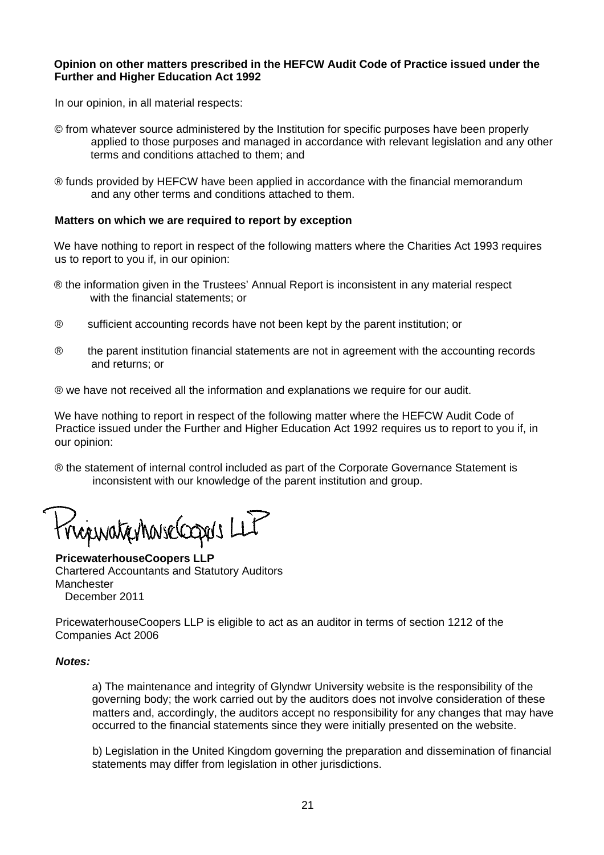### **Opinion on other matters prescribed in the HEFCW Audit Code of Practice issued under the Further and Higher Education Act 1992**

In our opinion, in all material respects:

- © from whatever source administered by the Institution for specific purposes have been properly applied to those purposes and managed in accordance with relevant legislation and any other terms and conditions attached to them; and
- ® funds provided by HEFCW have been applied in accordance with the financial memorandum and any other terms and conditions attached to them.

### **Matters on which we are required to report by exception**

We have nothing to report in respect of the following matters where the Charities Act 1993 requires us to report to you if, in our opinion:

- ® the information given in the Trustees' Annual Report is inconsistent in any material respect with the financial statements; or
- ® sufficient accounting records have not been kept by the parent institution; or
- ® the parent institution financial statements are not in agreement with the accounting records and returns; or

® we have not received all the information and explanations we require for our audit.

We have nothing to report in respect of the following matter where the HEFCW Audit Code of Practice issued under the Further and Higher Education Act 1992 requires us to report to you if, in our opinion:

® the statement of internal control included as part of the Corporate Governance Statement is inconsistent with our knowledge of the parent institution and group.

riguationnesse compos LLT

**PricewaterhouseCoopers LLP** Chartered Accountants and Statutory Auditors Manchester December 2011

PricewaterhouseCoopers LLP is eligible to act as an auditor in terms of section 1212 of the Companies Act 2006

### *Notes:*

a) The maintenance and integrity of Glyndwr University website is the responsibility of the governing body; the work carried out by the auditors does not involve consideration of these matters and, accordingly, the auditors accept no responsibility for any changes that may have occurred to the financial statements since they were initially presented on the website.

b) Legislation in the United Kingdom governing the preparation and dissemination of financial statements may differ from legislation in other jurisdictions.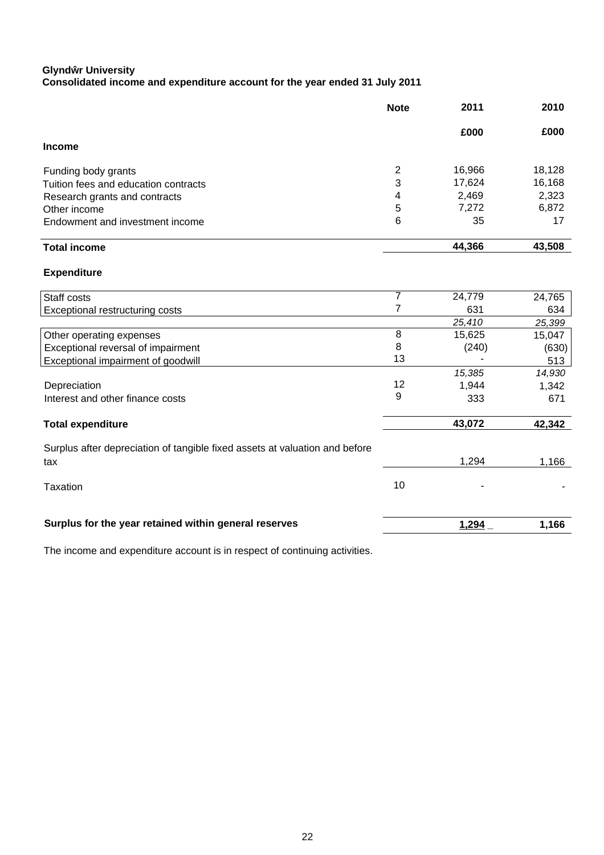### **Glynd r University Consolidated income and expenditure account for the year ended 31 July 2011**

|                                                                             | <b>Note</b>    | 2011   | 2010   |
|-----------------------------------------------------------------------------|----------------|--------|--------|
|                                                                             |                | £000   | £000   |
| <b>Income</b>                                                               |                |        |        |
| Funding body grants                                                         | $\overline{c}$ | 16,966 | 18,128 |
| Tuition fees and education contracts                                        | 3              | 17,624 | 16,168 |
| Research grants and contracts                                               | 4              | 2,469  | 2,323  |
| Other income                                                                | 5              | 7,272  | 6,872  |
| Endowment and investment income                                             | 6              | 35     | 17     |
| <b>Total income</b>                                                         |                | 44,366 | 43,508 |
| <b>Expenditure</b>                                                          |                |        |        |
| Staff costs                                                                 | 7              | 24,779 | 24,765 |
| Exceptional restructuring costs                                             | $\overline{7}$ | 631    | 634    |
|                                                                             |                | 25,410 | 25,399 |
| Other operating expenses                                                    | 8              | 15,625 | 15,047 |
| Exceptional reversal of impairment                                          | 8              | (240)  | (630)  |
| Exceptional impairment of goodwill                                          | 13             |        | 513    |
|                                                                             |                | 15,385 | 14,930 |
| Depreciation                                                                | 12             | 1,944  | 1,342  |
| Interest and other finance costs                                            | 9              | 333    | 671    |
| <b>Total expenditure</b>                                                    |                | 43,072 | 42,342 |
| Surplus after depreciation of tangible fixed assets at valuation and before |                |        |        |
| tax                                                                         |                | 1,294  | 1,166  |
| <b>Taxation</b>                                                             | 10             |        |        |
| Surplus for the year retained within general reserves                       |                | 1,294  | 1,166  |

The income and expenditure account is in respect of continuing activities.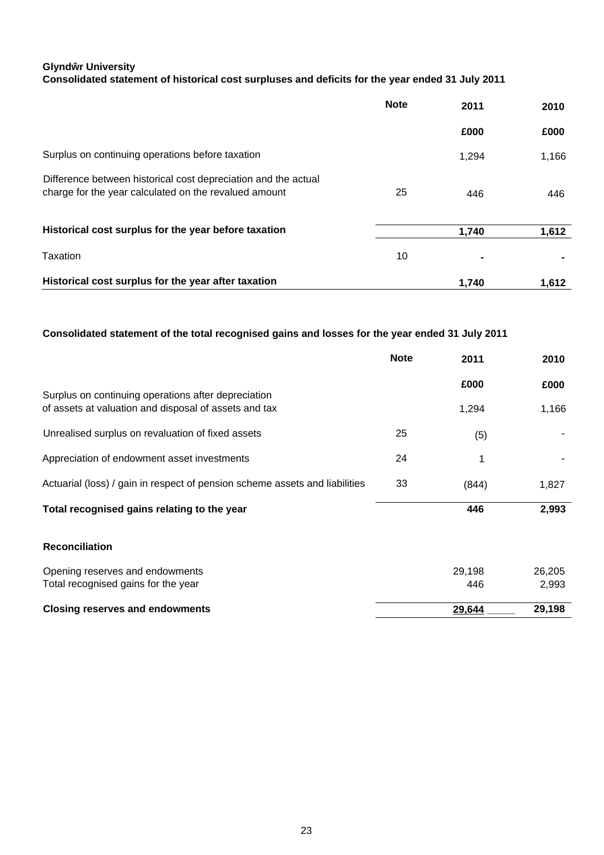# **Glynd r University Consolidated statement of historical cost surpluses and deficits for the year ended 31 July 2011**

|                                                                                                                         | <b>Note</b> | 2011  | 2010  |
|-------------------------------------------------------------------------------------------------------------------------|-------------|-------|-------|
|                                                                                                                         |             | £000  | £000  |
| Surplus on continuing operations before taxation                                                                        |             | 1,294 | 1,166 |
| Difference between historical cost depreciation and the actual<br>charge for the year calculated on the revalued amount | 25          | 446   | 446   |
| Historical cost surplus for the year before taxation                                                                    |             | 1,740 | 1,612 |
| Taxation                                                                                                                | 10          |       |       |
| Historical cost surplus for the year after taxation                                                                     |             | 1.740 | 1,612 |

# **Consolidated statement of the total recognised gains and losses for the year ended 31 July 2011**

|                                                                                                              | <b>Note</b> | 2011   | 2010   |
|--------------------------------------------------------------------------------------------------------------|-------------|--------|--------|
|                                                                                                              |             | £000   | £000   |
| Surplus on continuing operations after depreciation<br>of assets at valuation and disposal of assets and tax |             | 1,294  | 1,166  |
| Unrealised surplus on revaluation of fixed assets                                                            | 25          | (5)    |        |
| Appreciation of endowment asset investments                                                                  | 24          | 1      |        |
| Actuarial (loss) / gain in respect of pension scheme assets and liabilities                                  | 33          | (844)  | 1,827  |
| Total recognised gains relating to the year                                                                  |             | 446    | 2,993  |
| <b>Reconciliation</b>                                                                                        |             |        |        |
| Opening reserves and endowments                                                                              |             | 29,198 | 26,205 |
| Total recognised gains for the year                                                                          |             | 446    | 2,993  |
| <b>Closing reserves and endowments</b>                                                                       |             | 29,644 | 29,198 |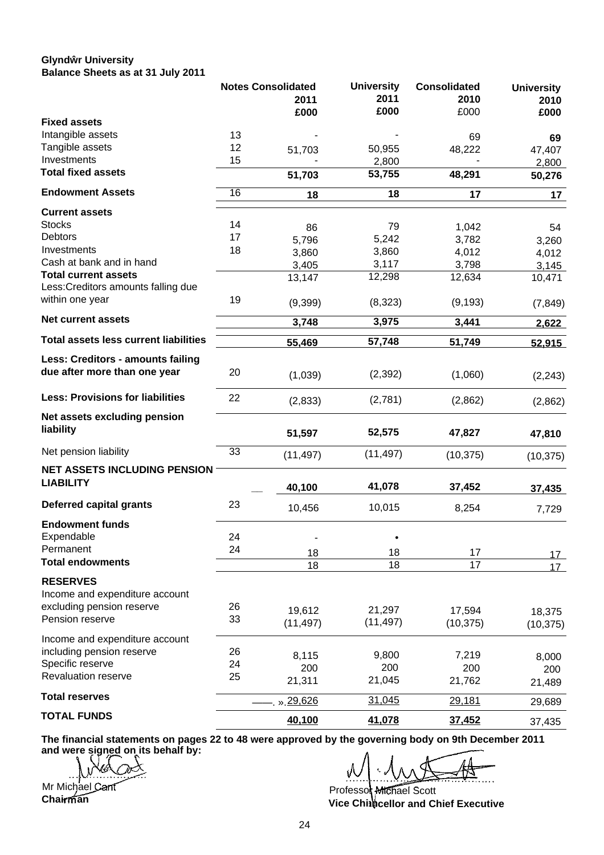### **Glynd r University Balance Sheets as at 31 July 2011**

|                                         |    | <b>Notes Consolidated</b> | <b>University</b> | <b>Consolidated</b> | <b>University</b> |
|-----------------------------------------|----|---------------------------|-------------------|---------------------|-------------------|
|                                         |    | 2011                      | 2011              | 2010                | 2010              |
|                                         |    | £000                      | £000              | £000                | £000              |
| <b>Fixed assets</b>                     |    |                           |                   |                     |                   |
| Intangible assets                       | 13 |                           |                   | 69                  | 69                |
| Tangible assets                         | 12 | 51,703                    | 50,955            | 48,222              | 47,407            |
| Investments                             | 15 |                           | 2,800             |                     | 2,800             |
| <b>Total fixed assets</b>               |    | 51,703                    | 53,755            | 48,291              | 50,276            |
| <b>Endowment Assets</b>                 | 16 | 18                        | 18                | 17                  | 17                |
| <b>Current assets</b>                   |    |                           |                   |                     |                   |
| <b>Stocks</b>                           | 14 | 86                        | 79                | 1,042               | 54                |
| <b>Debtors</b>                          | 17 | 5,796                     | 5,242             | 3,782               | 3,260             |
| Investments                             | 18 | 3,860                     | 3,860             | 4,012               | 4,012             |
| Cash at bank and in hand                |    | 3,405                     | 3,117             | 3,798               | 3,145             |
| <b>Total current assets</b>             |    | 13,147                    | 12,298            | 12,634              | 10,471            |
| Less: Creditors amounts falling due     |    |                           |                   |                     |                   |
| within one year                         | 19 | (9,399)                   | (8,323)           | (9, 193)            | (7, 849)          |
| <b>Net current assets</b>               |    | 3,748                     | 3,975             | 3,441               | 2,622             |
| Total assets less current liabilities   |    | 55,469                    | 57,748            | 51,749              | 52,915            |
|                                         |    |                           |                   |                     |                   |
| Less: Creditors - amounts failing       |    |                           |                   |                     |                   |
| due after more than one year            | 20 | (1,039)                   | (2, 392)          | (1,060)             | (2, 243)          |
| <b>Less: Provisions for liabilities</b> | 22 | (2,833)                   | (2,781)           | (2,862)             | (2,862)           |
| Net assets excluding pension            |    |                           |                   |                     |                   |
| liability                               |    |                           |                   |                     |                   |
|                                         |    | 51,597                    | 52,575            | 47,827              | 47,810            |
| Net pension liability                   | 33 | (11, 497)                 | (11, 497)         | (10, 375)           | (10, 375)         |
| <b>NET ASSETS INCLUDING PENSION</b>     |    |                           |                   |                     |                   |
| <b>LIABILITY</b>                        |    |                           |                   |                     |                   |
|                                         |    | 40,100                    | 41,078            | 37,452              | 37,435            |
| <b>Deferred capital grants</b>          | 23 | 10,456                    | 10,015            | 8,254               | 7,729             |
| <b>Endowment funds</b>                  |    |                           |                   |                     |                   |
| Expendable                              | 24 |                           |                   |                     |                   |
| Permanent                               | 24 |                           |                   |                     |                   |
| <b>Total endowments</b>                 |    | 18                        | 18                | 17                  | 17 <sup>2</sup>   |
|                                         |    | 18                        | $\overline{18}$   | $\overline{17}$     | 17 <sup>1</sup>   |
| <b>RESERVES</b>                         |    |                           |                   |                     |                   |
| Income and expenditure account          |    |                           |                   |                     |                   |
| excluding pension reserve               | 26 | 19,612                    | 21,297            | 17,594              | 18,375            |
| Pension reserve                         | 33 | (11, 497)                 | (11, 497)         | (10, 375)           | (10, 375)         |
|                                         |    |                           |                   |                     |                   |
| Income and expenditure account          |    |                           |                   |                     |                   |
| including pension reserve               | 26 | 8,115                     | 9,800             | 7,219               | 8,000             |
| Specific reserve                        | 24 | 200                       | 200               | 200                 | 200               |
| Revaluation reserve                     | 25 | 21,311                    | 21,045            | 21,762              | 21,489            |
| <b>Total reserves</b>                   |    | . » 29,626                | 31,045            | 29,181              | 29,689            |
| <b>TOTAL FUNDS</b>                      |    | 40,100                    |                   |                     |                   |
|                                         |    |                           | 41,078            | 37,452              | 37,435            |

**The financial statements on pages 22 to 48 were approved by the governing body on 9th December 2011 and were signed on its behalf by:**

Mr Michael Cant **Chairman** 

Professo**t <del>MI</del>Chael Scott cellor and Chief Executive Vice Chi an**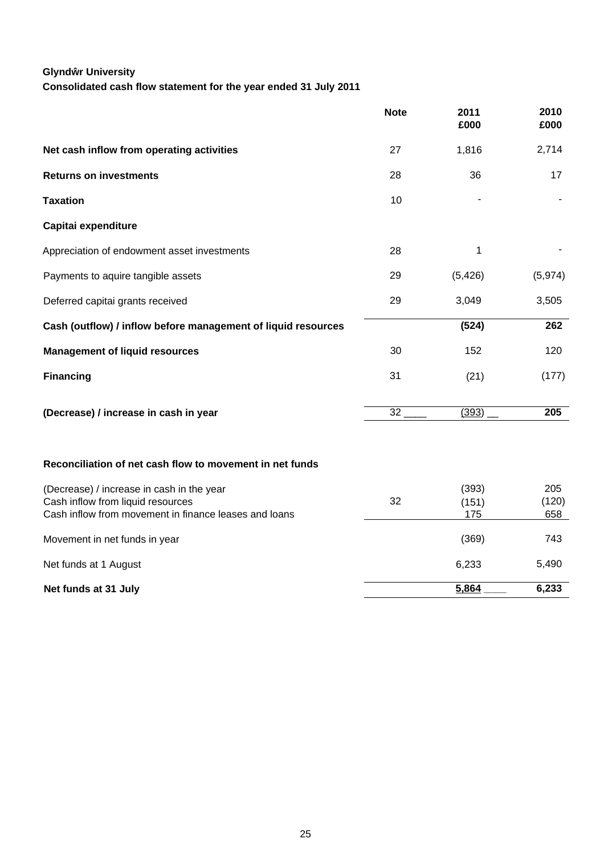# **Glynd r University**

**Consolidated cash flow statement for the year ended 31 July 2011**

|                                                                                | <b>Note</b>     | 2011<br>£000   | 2010<br>£000 |
|--------------------------------------------------------------------------------|-----------------|----------------|--------------|
| Net cash inflow from operating activities                                      | 27              | 1,816          | 2,714        |
| <b>Returns on investments</b>                                                  | 28              | 36             | 17           |
| <b>Taxation</b>                                                                | 10              |                |              |
| Capitai expenditure                                                            |                 |                |              |
| Appreciation of endowment asset investments                                    | 28              | 1              |              |
| Payments to aquire tangible assets                                             | 29              | (5, 426)       | (5,974)      |
| Deferred capitai grants received                                               | 29              | 3,049          | 3,505        |
| Cash (outflow) / inflow before management of liquid resources                  |                 | (524)          | 262          |
| <b>Management of liquid resources</b>                                          | 30              | 152            | 120          |
| <b>Financing</b>                                                               | 31              | (21)           | (177)        |
| (Decrease) / increase in cash in year                                          | $\overline{32}$ | (393)          | 205          |
| Reconciliation of net cash flow to movement in net funds                       |                 |                |              |
| (Decrease) / increase in cash in the year<br>Cash inflow from liquid resources | 32              | (393)<br>(151) | 205<br>(120) |
| Cash inflow from movement in finance leases and loans                          |                 | 175            | 658          |
| Movement in net funds in year                                                  |                 | (369)          | 743          |
| Net funds at 1 August                                                          |                 | 6,233          | 5,490        |
| Net funds at 31 July                                                           |                 | 5,864          | 6,233        |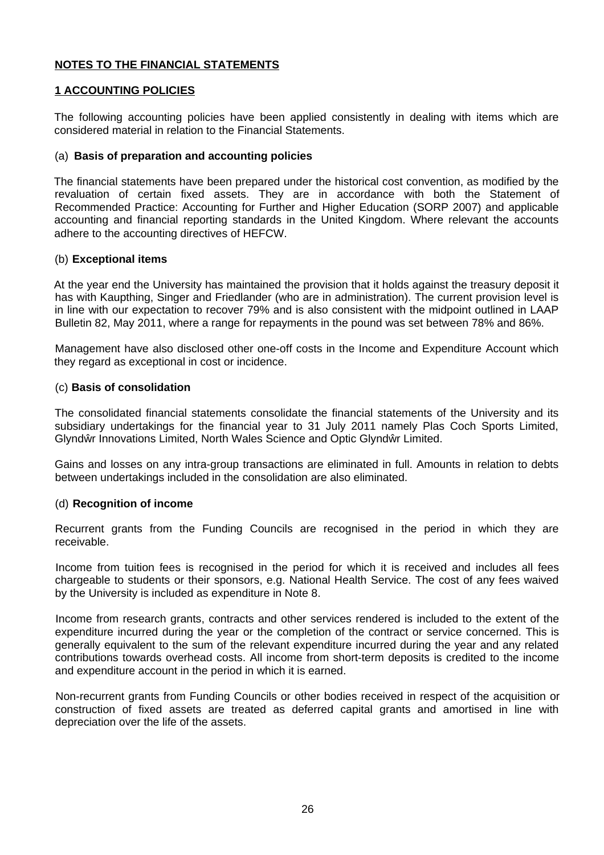# **NOTES TO THE FINANCIAL STATEMENTS**

# **1 ACCOUNTING POLICIES**

The following accounting policies have been applied consistently in dealing with items which are considered material in relation to the Financial Statements.

# (a) **Basis of preparation and accounting policies**

The financial statements have been prepared under the historical cost convention, as modified by the revaluation of certain fixed assets. They are in accordance with both the Statement of Recommended Practice: Accounting for Further and Higher Education (SORP 2007) and applicable accounting and financial reporting standards in the United Kingdom. Where relevant the accounts adhere to the accounting directives of HEFCW.

# (b) **Exceptional items**

At the year end the University has maintained the provision that it holds against the treasury deposit it has with Kaupthing, Singer and Friedlander (who are in administration). The current provision level is in line with our expectation to recover 79% and is also consistent with the midpoint outlined in LAAP Bulletin 82, May 2011, where a range for repayments in the pound was set between 78% and 86%.

Management have also disclosed other one-off costs in the Income and Expenditure Account which they regard as exceptional in cost or incidence.

# (c) **Basis of consolidation**

The consolidated financial statements consolidate the financial statements of the University and its subsidiary undertakings for the financial year to 31 July 2011 namely Plas Coch Sports Limited, Glynd r Innovations Limited, North Wales Science and Optic Glynd r Limited.

Gains and losses on any intra-group transactions are eliminated in full. Amounts in relation to debts between undertakings included in the consolidation are also eliminated.

# (d) **Recognition of income**

Recurrent grants from the Funding Councils are recognised in the period in which they are receivable.

Income from tuition fees is recognised in the period for which it is received and includes all fees chargeable to students or their sponsors, e.g. National Health Service. The cost of any fees waived by the University is included as expenditure in Note 8.

Income from research grants, contracts and other services rendered is included to the extent of the expenditure incurred during the year or the completion of the contract or service concerned. This is generally equivalent to the sum of the relevant expenditure incurred during the year and any related contributions towards overhead costs. All income from short-term deposits is credited to the income and expenditure account in the period in which it is earned.

Non-recurrent grants from Funding Councils or other bodies received in respect of the acquisition or construction of fixed assets are treated as deferred capital grants and amortised in line with depreciation over the life of the assets.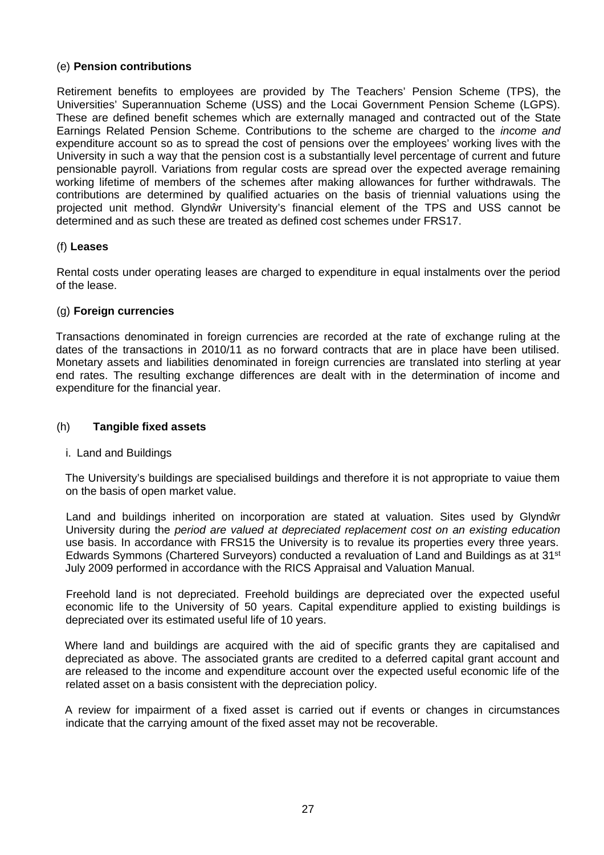# (e) **Pension contributions**

Retirement benefits to employees are provided by The Teachers' Pension Scheme (TPS), the Universities' Superannuation Scheme (USS) and the Locai Government Pension Scheme (LGPS). These are defined benefit schemes which are externally managed and contracted out of the State Earnings Related Pension Scheme. Contributions to the scheme are charged to the *income and* expenditure account so as to spread the cost of pensions over the employees' working lives with the University in such a way that the pension cost is a substantially level percentage of current and future pensionable payroll. Variations from regular costs are spread over the expected average remaining working lifetime of members of the schemes after making allowances for further withdrawals. The contributions are determined by qualified actuaries on the basis of triennial valuations using the projected unit method. Glynd r University's financial element of the TPS and USS cannot be determined and as such these are treated as defined cost schemes under FRS17.

# (f) **Leases**

Rental costs under operating leases are charged to expenditure in equal instalments over the period of the lease.

# (g) **Foreign currencies**

Transactions denominated in foreign currencies are recorded at the rate of exchange ruling at the dates of the transactions in 2010/11 as no forward contracts that are in place have been utilised. Monetary assets and liabilities denominated in foreign currencies are translated into sterling at year end rates. The resulting exchange differences are dealt with in the determination of income and expenditure for the financial year.

# (h) **Tangible fixed assets**

# i. Land and Buildings

The University's buildings are specialised buildings and therefore it is not appropriate to vaiue them on the basis of open market value.

Land and buildings inherited on incorporation are stated at valuation. Sites used by Glynd r University during the *period are valued at depreciated replacement cost on an existing education* use basis. In accordance with FRS15 the University is to revalue its properties every three years. Edwards Symmons (Chartered Surveyors) conducted a revaluation of Land and Buildings as at 31st July 2009 performed in accordance with the RICS Appraisal and Valuation Manual.

Freehold land is not depreciated. Freehold buildings are depreciated over the expected useful economic life to the University of 50 years. Capital expenditure applied to existing buildings is depreciated over its estimated useful life of 10 years.

Where land and buildings are acquired with the aid of specific grants they are capitalised and depreciated as above. The associated grants are credited to a deferred capital grant account and are released to the income and expenditure account over the expected useful economic life of the related asset on a basis consistent with the depreciation policy.

A review for impairment of a fixed asset is carried out if events or changes in circumstances indicate that the carrying amount of the fixed asset may not be recoverable.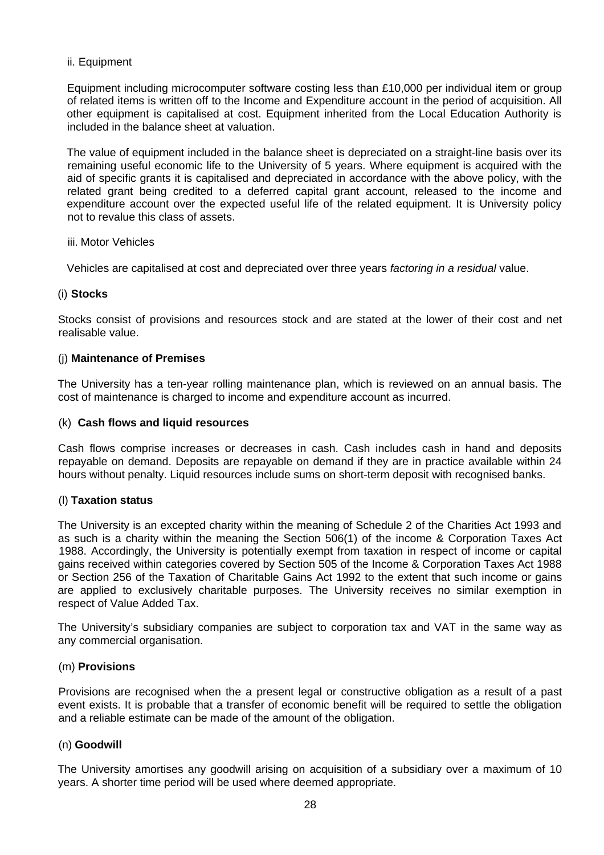# ii. Equipment

Equipment including microcomputer software costing less than £10,000 per individual item or group of related items is written off to the Income and Expenditure account in the period of acquisition. All other equipment is capitalised at cost. Equipment inherited from the Local Education Authority is included in the balance sheet at valuation.

The value of equipment included in the balance sheet is depreciated on a straight-line basis over its remaining useful economic life to the University of 5 years. Where equipment is acquired with the aid of specific grants it is capitalised and depreciated in accordance with the above policy, with the related grant being credited to a deferred capital grant account, released to the income and expenditure account over the expected useful life of the related equipment. It is University policy not to revalue this class of assets.

### iii. Motor Vehicles

Vehicles are capitalised at cost and depreciated over three years *factoring in a residual* value.

### (i) **Stocks**

Stocks consist of provisions and resources stock and are stated at the lower of their cost and net realisable value.

### (j) **Maintenance of Premises**

The University has a ten-year rolling maintenance plan, which is reviewed on an annual basis. The cost of maintenance is charged to income and expenditure account as incurred.

### (k) **Cash flows and liquid resources**

Cash flows comprise increases or decreases in cash. Cash includes cash in hand and deposits repayable on demand. Deposits are repayable on demand if they are in practice available within 24 hours without penalty. Liquid resources include sums on short-term deposit with recognised banks.

# (l) **Taxation status**

The University is an excepted charity within the meaning of Schedule 2 of the Charities Act 1993 and as such is a charity within the meaning the Section 506(1) of the income & Corporation Taxes Act 1988. Accordingly, the University is potentially exempt from taxation in respect of income or capital gains received within categories covered by Section 505 of the Income & Corporation Taxes Act 1988 or Section 256 of the Taxation of Charitable Gains Act 1992 to the extent that such income or gains are applied to exclusively charitable purposes. The University receives no similar exemption in respect of Value Added Tax.

The University's subsidiary companies are subject to corporation tax and VAT in the same way as any commercial organisation.

### (m) **Provisions**

Provisions are recognised when the a present legal or constructive obligation as a result of a past event exists. It is probable that a transfer of economic benefit will be required to settle the obligation and a reliable estimate can be made of the amount of the obligation.

### (n) **Goodwill**

The University amortises any goodwill arising on acquisition of a subsidiary over a maximum of 10 years. A shorter time period will be used where deemed appropriate.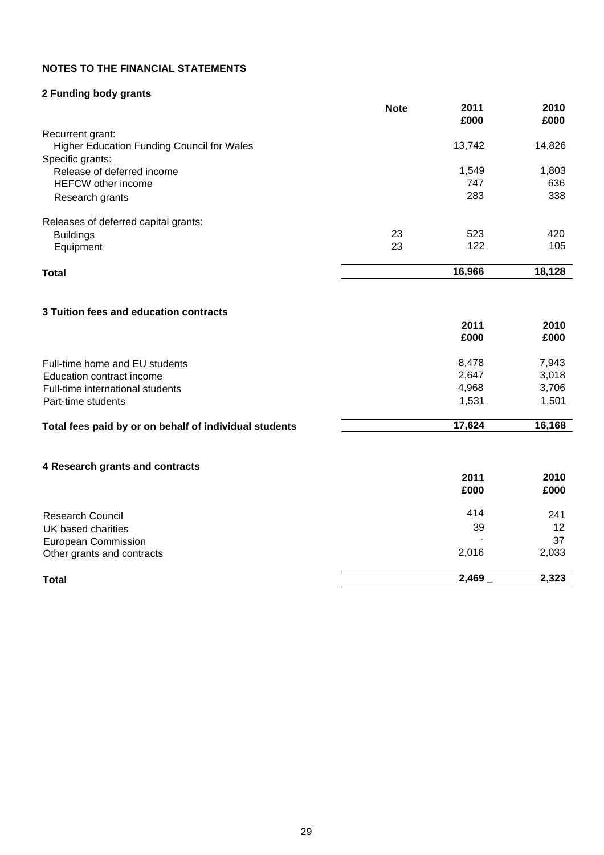# **NOTES TO THE FINANCIAL STATEMENTS**

# **2 Funding body grants**

|                                                   | <b>Note</b> | 2011<br>£000 | 2010<br>£000 |
|---------------------------------------------------|-------------|--------------|--------------|
| Recurrent grant:                                  |             |              |              |
| <b>Higher Education Funding Council for Wales</b> |             | 13,742       | 14,826       |
| Specific grants:                                  |             |              |              |
| Release of deferred income                        |             | 1,549        | 1,803        |
| <b>HEFCW</b> other income                         |             | 747          | 636          |
| Research grants                                   |             | 283          | 338          |
| Releases of deferred capital grants:              |             |              |              |
| <b>Buildings</b>                                  | 23          | 523          | 420          |
| Equipment                                         | 23          | 122          | 105          |
| <b>Total</b>                                      |             | 16,966       | 18,128       |
| 3 Tuition fees and education contracts            |             |              |              |
|                                                   |             | 2011         | 2010         |

| £000   | £000   |
|--------|--------|
| 8.478  | 7,943  |
| 2.647  | 3,018  |
| 4,968  | 3,706  |
| 1.531  | 1.501  |
| 17.624 | 16,168 |
|        |        |

# **4 Research grants and contracts**

| 4 Research grants and contracts | 2011<br>£000 | 2010<br>£000 |
|---------------------------------|--------------|--------------|
| <b>Research Council</b>         | 414          | 241          |
| UK based charities              | 39           | 12           |
| <b>European Commission</b>      |              | 37           |
| Other grants and contracts      | 2,016        | 2,033        |
| <b>Total</b>                    | 2,469        | 2,323        |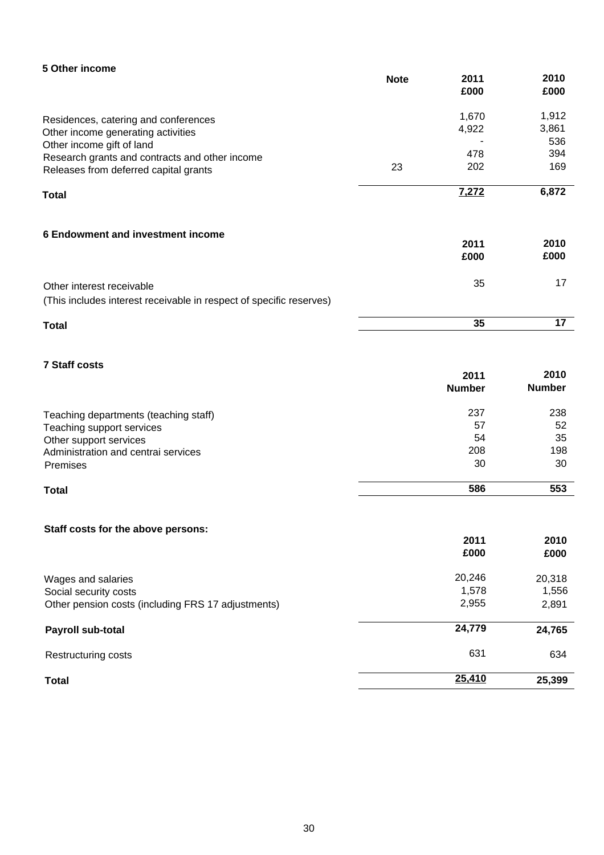| 5 Other income                                                                                                                                            | <b>Note</b> | 2011<br>£000                 | 2010<br>£000                        |
|-----------------------------------------------------------------------------------------------------------------------------------------------------------|-------------|------------------------------|-------------------------------------|
| Residences, catering and conferences<br>Other income generating activities<br>Other income gift of land<br>Research grants and contracts and other income | 23          | 1,670<br>4,922<br>478<br>202 | 1,912<br>3,861<br>536<br>394<br>169 |
| Releases from deferred capital grants<br><b>Total</b>                                                                                                     |             | <u>7,272</u>                 | 6,872                               |
| 6 Endowment and investment income                                                                                                                         |             | 2011<br>£000                 | 2010<br>£000                        |
| Other interest receivable<br>(This includes interest receivable in respect of specific reserves)                                                          |             | 35                           | 17                                  |
| <b>Total</b>                                                                                                                                              |             | 35                           | 17                                  |

# **7 Staff costs**

| 2011          | 2010          |
|---------------|---------------|
| <b>Number</b> | <b>Number</b> |
| 237           | 238           |
| 57            | 52            |
| 54            | 35            |
| 208           | 198           |
| 30            | 30            |
|               |               |

#### **Total 586 553**

# **Staff costs for the above persons:**

|                                                    | 2011   | 2010   |
|----------------------------------------------------|--------|--------|
|                                                    | £000   | £000   |
| Wages and salaries                                 | 20,246 | 20,318 |
| Social security costs                              | 1,578  | 1,556  |
| Other pension costs (including FRS 17 adjustments) | 2,955  | 2,891  |
| Payroll sub-total                                  | 24,779 | 24,765 |
| Restructuring costs                                | 631    | 634    |
| <b>Total</b>                                       | 25,410 | 25,399 |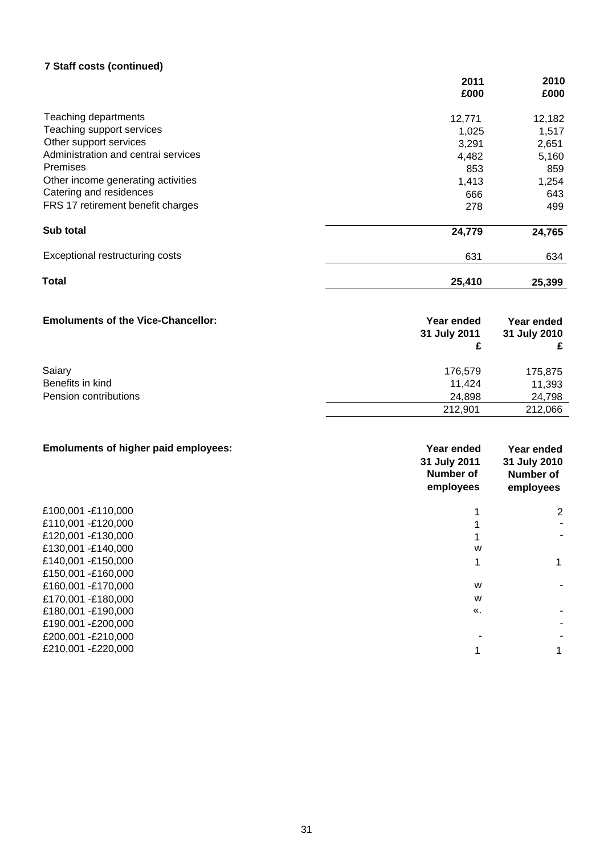# **7 Staff costs (continued)**

|                                     | 2011<br>£000 | 2010<br>£000 |
|-------------------------------------|--------------|--------------|
| Teaching departments                | 12,771       | 12,182       |
| Teaching support services           | 1,025        | 1,517        |
| Other support services              | 3,291        | 2,651        |
| Administration and central services | 4,482        | 5,160        |
| <b>Premises</b>                     | 853          | 859          |
| Other income generating activities  | 1,413        | 1,254        |
| Catering and residences             | 666          | 643          |
| FRS 17 retirement benefit charges   | 278          | 499          |
| Sub total                           | 24,779       | 24,765       |
| Exceptional restructuring costs     | 631          | 634          |
| Total                               | 25,410       | 25,399       |

| <b>Emoluments of the Vice-Chancellor:</b> | <b>Year ended</b><br>31 July 2011 | Year ended<br>31 July 2010 |
|-------------------------------------------|-----------------------------------|----------------------------|
| Saiary<br>Benefits in kind                | 176.579<br>11.424                 | 175,875<br>11,393          |
| Pension contributions                     | 24.898                            | 24,798                     |
|                                           | 212,901                           | 212,066                    |

| <b>Emoluments of higher paid employees:</b> | Year ended<br>31 July 2011<br>Number of<br>employees | Year ended<br>31 July 2010<br>Number of<br>employees |
|---------------------------------------------|------------------------------------------------------|------------------------------------------------------|
| £100,001 -£110,000                          |                                                      | 2                                                    |
| £110,001 -£120,000                          |                                                      |                                                      |
| £120,001 -£130,000                          |                                                      |                                                      |
| £130,001 -£140,000                          | W                                                    |                                                      |
| £140,001 -£150,000                          |                                                      |                                                      |
| £150,001 -£160,000                          |                                                      |                                                      |
| £160,001 -£170,000                          | W                                                    |                                                      |
| £170,001 -£180,000                          | W                                                    |                                                      |
| £180,001 -£190,000                          | $\mathcal{R}_{\mathcal{A}}$                          |                                                      |
| £190,001 -£200,000                          |                                                      |                                                      |
| £200,001 - £210,000                         |                                                      |                                                      |
| £210,001 -£220,000                          |                                                      |                                                      |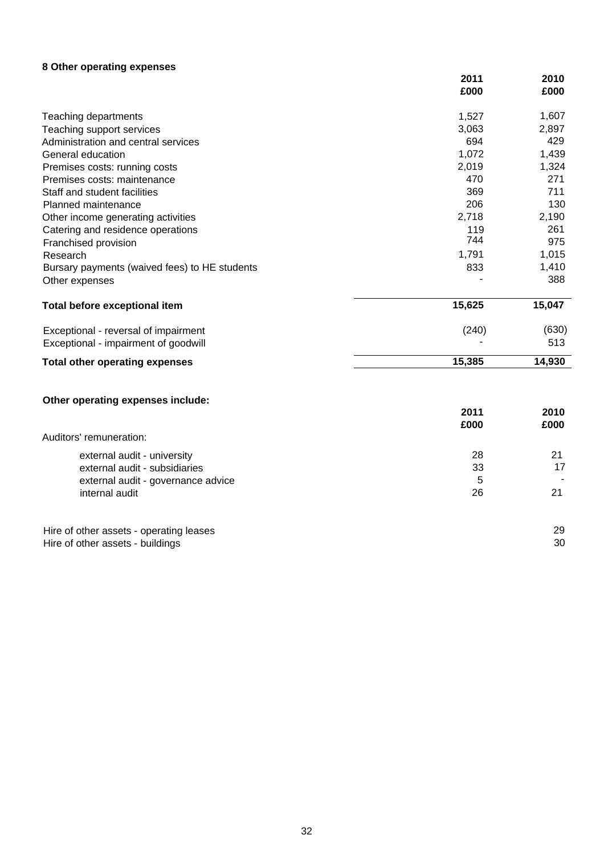# **8 Other operating expenses**

|                                               | 2011<br>£000 | 2010<br>£000 |
|-----------------------------------------------|--------------|--------------|
| Teaching departments                          | 1,527        | 1,607        |
| Teaching support services                     | 3,063        | 2,897        |
| Administration and central services           | 694          | 429          |
| General education                             | 1,072        | 1,439        |
| Premises costs: running costs                 | 2,019        | 1,324        |
| Premises costs: maintenance                   | 470          | 271          |
| Staff and student facilities                  | 369          | 711          |
| Planned maintenance                           | 206          | 130          |
| Other income generating activities            | 2,718        | 2,190        |
| Catering and residence operations             | 119          | 261          |
| Franchised provision                          | 744          | 975          |
| Research                                      | 1,791        | 1,015        |
| Bursary payments (waived fees) to HE students | 833          | 1,410        |
| Other expenses                                |              | 388          |
| Total before exceptional item                 | 15,625       | 15,047       |
| Exceptional - reversal of impairment          | (240)        | (630)        |
| Exceptional - impairment of goodwill          |              | 513          |
| <b>Total other operating expenses</b>         | 15,385       | 14,930       |
| Other operating expenses include:             |              |              |
|                                               | 2011<br>£000 | 2010<br>£000 |
| Auditors' remuneration:                       |              |              |
| external audit - university                   | 28           | 21           |
| external audit - subsidiaries                 | 33           | 17           |
| external audit - governance advice            | 5            |              |
| internal audit                                | 26           | 21           |
| Hire of other assets - operating leases       |              | 29           |
| Hire of other assets - buildings              |              | 30           |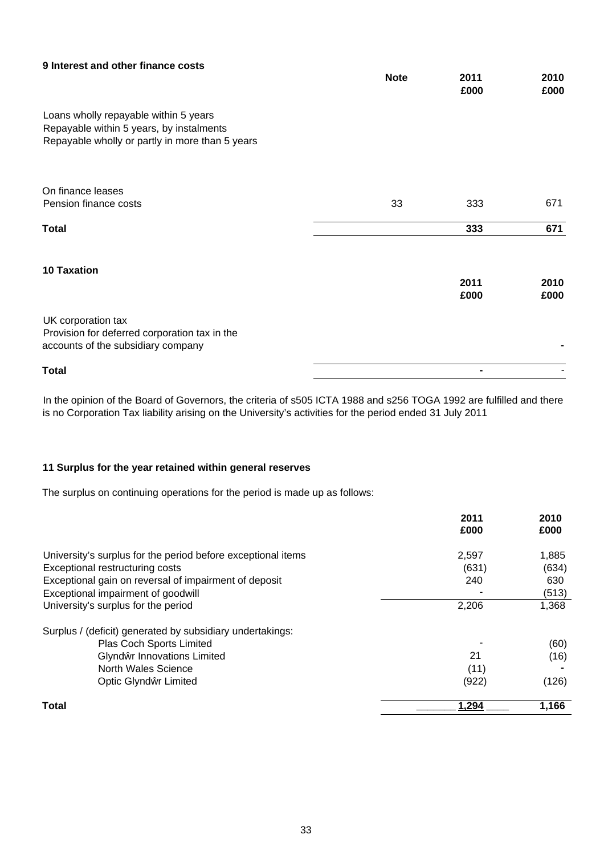| 9 Interest and other finance costs                                                                                                   | <b>Note</b> | 2011<br>£000   | 2010<br>£000 |
|--------------------------------------------------------------------------------------------------------------------------------------|-------------|----------------|--------------|
| Loans wholly repayable within 5 years<br>Repayable within 5 years, by instalments<br>Repayable wholly or partly in more than 5 years |             |                |              |
| On finance leases<br>Pension finance costs                                                                                           | 33          | 333            | 671          |
| <b>Total</b>                                                                                                                         |             | 333            | 671          |
| <b>10 Taxation</b>                                                                                                                   |             | 2011<br>£000   | 2010<br>£000 |
| UK corporation tax<br>Provision for deferred corporation tax in the<br>accounts of the subsidiary company                            |             |                |              |
| <b>Total</b>                                                                                                                         |             | $\blacksquare$ |              |

In the opinion of the Board of Governors, the criteria of s505 ICTA 1988 and s256 TOGA 1992 are fulfilled and there is no Corporation Tax liability arising on the University's activities for the period ended 31 July 2011

### **11 Surplus for the year retained within general reserves**

The surplus on continuing operations for the period is made up as follows:

| 2011<br>£000 | 2010<br>£000 |
|--------------|--------------|
| 2,597        | 1,885        |
| (631)        | (634)        |
| 240          | 630          |
|              | (513)        |
| 2,206        | 1,368        |
|              |              |
|              | (60)         |
| 21           | (16)         |
| (11)         |              |
| (922)        | (126)        |
| 1,294        | 1,166        |
|              |              |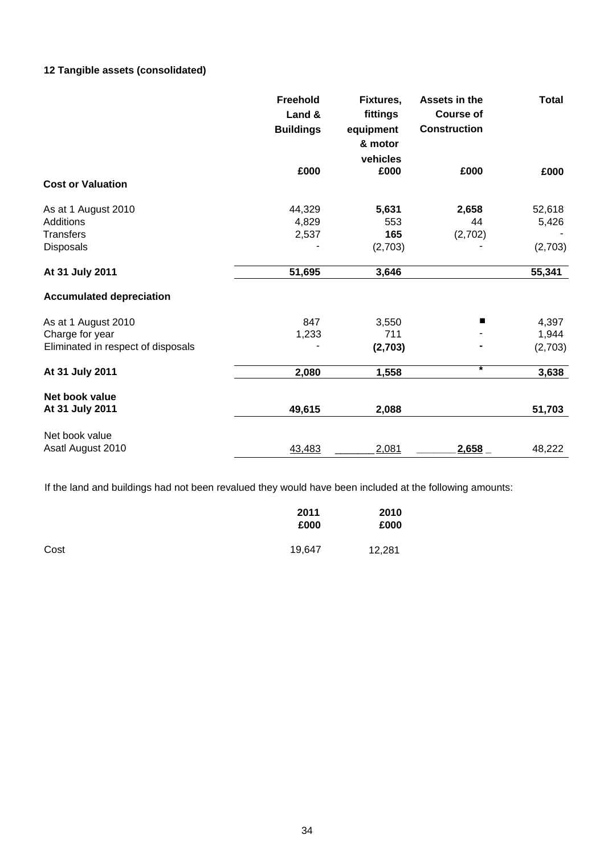# **12 Tangible assets (consolidated)**

|                                    | Freehold<br>Land &<br><b>Buildings</b> | Fixtures,<br>fittings<br>equipment<br>& motor<br>vehicles | Assets in the<br><b>Course of</b><br><b>Construction</b> | <b>Total</b> |
|------------------------------------|----------------------------------------|-----------------------------------------------------------|----------------------------------------------------------|--------------|
|                                    | £000                                   | £000                                                      | £000                                                     | £000         |
| <b>Cost or Valuation</b>           |                                        |                                                           |                                                          |              |
| As at 1 August 2010                | 44,329                                 | 5,631                                                     | 2,658                                                    | 52,618       |
| Additions                          | 4,829                                  | 553                                                       | 44                                                       | 5,426        |
| <b>Transfers</b>                   | 2,537                                  | 165                                                       | (2,702)                                                  |              |
| <b>Disposals</b>                   |                                        | (2,703)                                                   |                                                          | (2,703)      |
| At 31 July 2011                    | 51,695                                 | 3,646                                                     |                                                          | 55,341       |
| <b>Accumulated depreciation</b>    |                                        |                                                           |                                                          |              |
| As at 1 August 2010                | 847                                    | 3,550                                                     |                                                          | 4,397        |
| Charge for year                    | 1,233                                  | 711                                                       |                                                          | 1,944        |
| Eliminated in respect of disposals |                                        | (2,703)                                                   |                                                          | (2,703)      |
| At 31 July 2011                    | 2,080                                  | 1,558                                                     | ¥                                                        | 3,638        |
| Net book value                     |                                        |                                                           |                                                          |              |
| At 31 July 2011                    | 49,615                                 | 2,088                                                     |                                                          | 51,703       |
| Net book value                     |                                        |                                                           |                                                          |              |
| Asatl August 2010                  | 43,483                                 | 2,081                                                     | 2,658                                                    | 48,222       |

If the land and buildings had not been revalued they would have been included at the following amounts:

|      | 2011<br>£000 | 2010<br>£000 |
|------|--------------|--------------|
| Cost | 19,647       | 12,281       |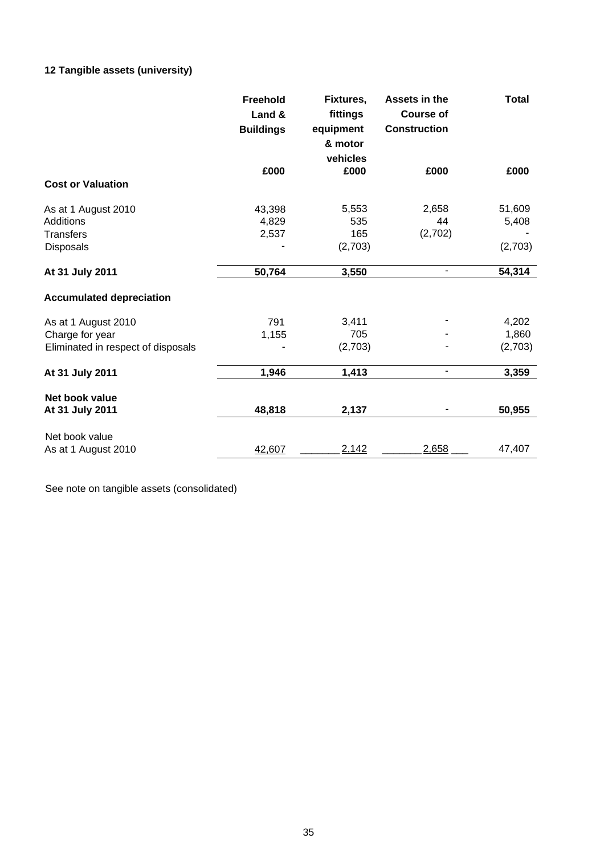# **12 Tangible assets (university)**

|                                    | Freehold<br>Land &<br><b>Buildings</b> | Fixtures,<br>fittings<br>equipment<br>& motor | Assets in the<br><b>Course of</b><br><b>Construction</b> | <b>Total</b> |
|------------------------------------|----------------------------------------|-----------------------------------------------|----------------------------------------------------------|--------------|
|                                    | £000                                   | vehicles<br>£000                              | £000                                                     | £000         |
| <b>Cost or Valuation</b>           |                                        |                                               |                                                          |              |
| As at 1 August 2010                | 43,398                                 | 5,553                                         | 2,658                                                    | 51,609       |
| <b>Additions</b>                   | 4,829                                  | 535                                           | 44                                                       | 5,408        |
| <b>Transfers</b>                   | 2,537                                  | 165                                           | (2,702)                                                  |              |
| <b>Disposals</b>                   |                                        | (2,703)                                       |                                                          | (2,703)      |
| At 31 July 2011                    | 50,764                                 | 3,550                                         | ÷,                                                       | 54,314       |
| <b>Accumulated depreciation</b>    |                                        |                                               |                                                          |              |
| As at 1 August 2010                | 791                                    | 3,411                                         |                                                          | 4,202        |
| Charge for year                    | 1,155                                  | 705                                           |                                                          | 1,860        |
| Eliminated in respect of disposals |                                        | (2,703)                                       |                                                          | (2,703)      |
| At 31 July 2011                    | 1,946                                  | 1,413                                         | -                                                        | 3,359        |
| Net book value                     |                                        |                                               |                                                          |              |
| At 31 July 2011                    | 48,818                                 | 2,137                                         |                                                          | 50,955       |
| Net book value                     |                                        |                                               |                                                          |              |
| As at 1 August 2010                | 42,607                                 | 2,142                                         | 2,658                                                    | 47,407       |

See note on tangible assets (consolidated)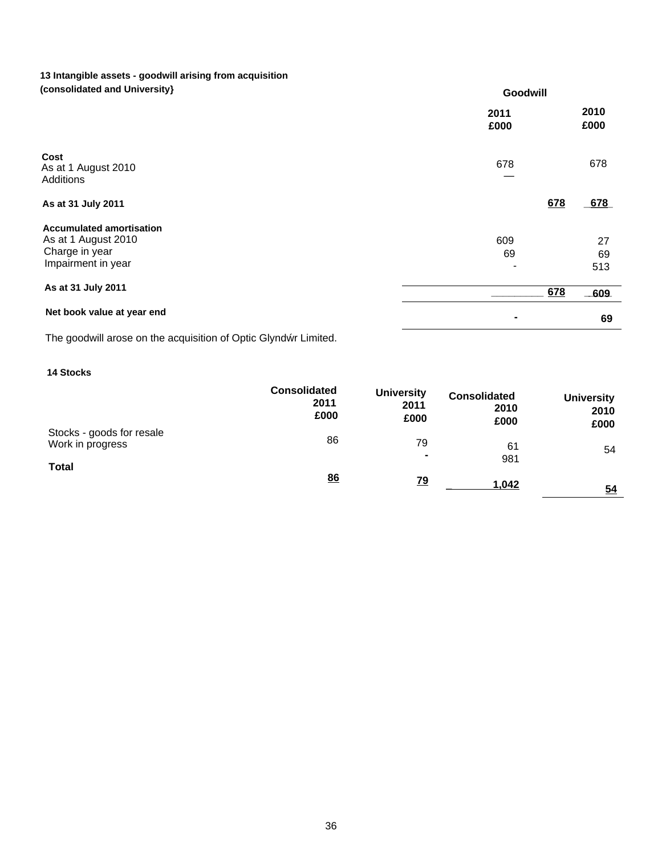### **13 Intangible assets - goodwill arising from acquisition (consolidated and University)**

| (CONSUNDATED AND UNIVERSITY)                                                                   | Goodwill     |                 |  |
|------------------------------------------------------------------------------------------------|--------------|-----------------|--|
|                                                                                                | 2011<br>£000 | 2010<br>£000    |  |
| Cost<br>As at 1 August 2010<br><b>Additions</b>                                                | 678          | 678             |  |
| As at 31 July 2011                                                                             |              | 678<br>678      |  |
| <b>Accumulated amortisation</b><br>As at 1 August 2010<br>Charge in year<br>Impairment in year | 609<br>69    | 27<br>69<br>513 |  |
| As at 31 July 2011                                                                             |              | 678<br>$-609$   |  |
| Net book value at year end                                                                     |              | 69              |  |

The goodwill arose on the acquisition of Optic Glynd r Limited.

# **14 Stocks**

|                                               | <b>Consolidated</b><br>2011<br>£000 | <b>University</b><br>2011<br>£000 | <b>Consolidated</b><br>2010<br>£000 | <b>University</b><br>2010<br>£000 |
|-----------------------------------------------|-------------------------------------|-----------------------------------|-------------------------------------|-----------------------------------|
| Stocks - goods for resale<br>Work in progress | 86                                  | 79<br>$\blacksquare$              | 61                                  | 54                                |
| <b>Total</b>                                  | 86                                  | <u>79</u>                         | 981<br>1,042                        | 54                                |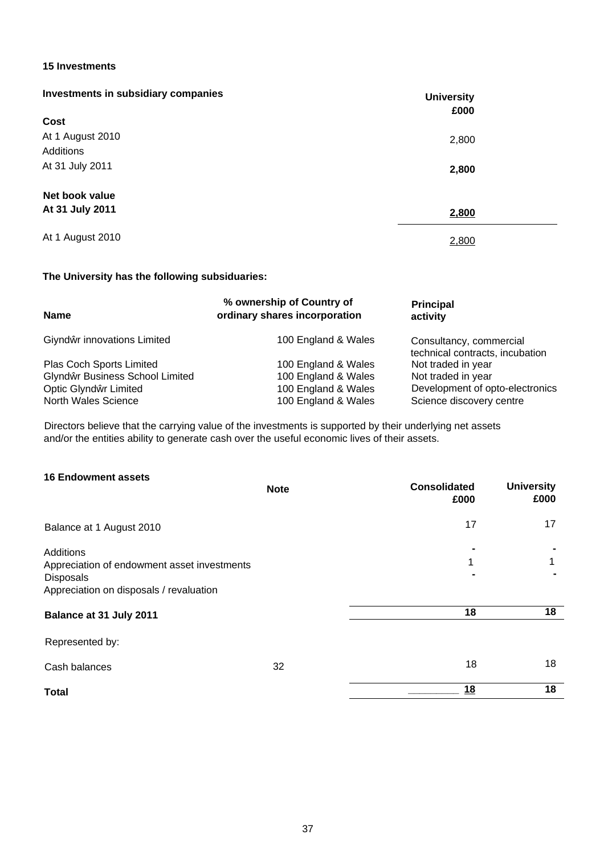#### **15 Investments**

| Investments in subsidiary companies | <b>University</b><br>£000 |  |
|-------------------------------------|---------------------------|--|
| Cost                                |                           |  |
| At 1 August 2010                    | 2,800                     |  |
| Additions                           |                           |  |
| At 31 July 2011                     | 2,800                     |  |
| Net book value                      |                           |  |
| At 31 July 2011                     | 2,800                     |  |
| At 1 August 2010                    | 2,800                     |  |

### **The University has the following subsiduaries:**

| <b>Name</b>                                                                            | % ownership of Country of<br>ordinary shares incorporation        | <b>Principal</b><br>activity                                                      |
|----------------------------------------------------------------------------------------|-------------------------------------------------------------------|-----------------------------------------------------------------------------------|
| Giynd r innovations Limited                                                            | 100 England & Wales                                               | Consultancy, commercial<br>technical contracts, incubation                        |
| Plas Coch Sports Limited                                                               | 100 England & Wales                                               | Not traded in year                                                                |
| Glynd r Business School Limited<br>Optic Glynd r Limited<br><b>North Wales Science</b> | 100 England & Wales<br>100 England & Wales<br>100 England & Wales | Not traded in year<br>Development of opto-electronics<br>Science discovery centre |

Directors believe that the carrying value of the investments is supported by their underlying net assets and/or the entities ability to generate cash over the useful economic lives of their assets.

### **16 Endowment assets**

|                                                                                                                  | <b>Note</b> | <b>Consolidated</b><br>£000 | <b>University</b><br>£000 |
|------------------------------------------------------------------------------------------------------------------|-------------|-----------------------------|---------------------------|
| Balance at 1 August 2010                                                                                         |             | 17                          | 17                        |
| Additions<br>Appreciation of endowment asset investments<br>Disposals<br>Appreciation on disposals / revaluation |             | 1                           |                           |
| Balance at 31 July 2011                                                                                          |             | 18                          | 18                        |
| Represented by:                                                                                                  |             |                             |                           |
| Cash balances                                                                                                    | 32          | 18                          | 18                        |
| <b>Total</b>                                                                                                     |             | <u>18</u>                   | 18                        |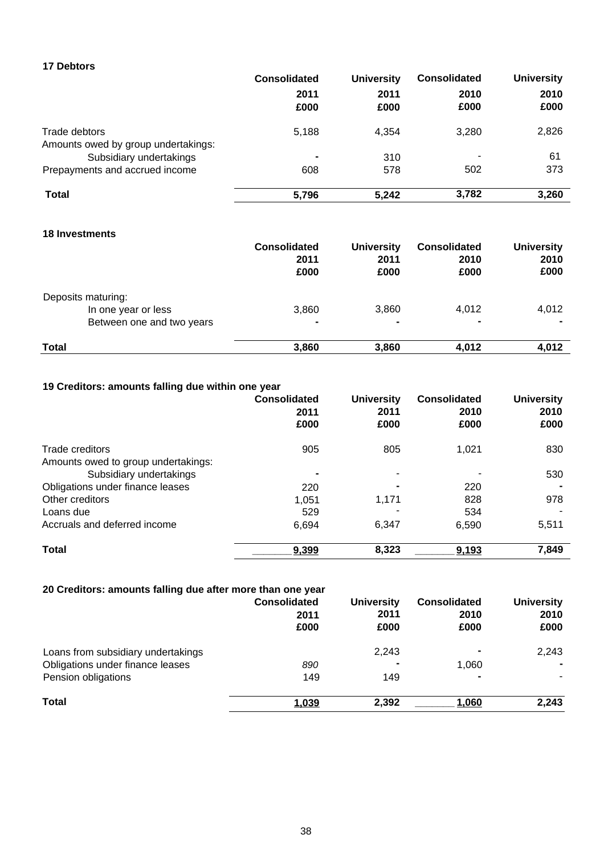### **17 Debtors**

|                                     | <b>Consolidated</b> | <b>University</b> | <b>Consolidated</b> | <b>University</b> |
|-------------------------------------|---------------------|-------------------|---------------------|-------------------|
|                                     | 2011                | 2011              | 2010                | 2010              |
|                                     | £000                | £000              | £000                | £000              |
| Trade debtors                       | 5,188               | 4,354             | 3.280               | 2,826             |
| Amounts owed by group undertakings: |                     |                   |                     |                   |
| Subsidiary undertakings             | -                   | 310               |                     | 61                |
| Prepayments and accrued income      | 608                 | 578               | 502                 | 373               |
| <b>Total</b>                        | 5,796               | 5,242             | 3,782               | 3,260             |

# **18 Investments**

|                           | <b>Consolidated</b><br>2011<br>£000 | <b>University</b><br>2011<br>£000 | <b>Consolidated</b><br>2010<br>£000 | <b>University</b><br>2010<br>£000 |
|---------------------------|-------------------------------------|-----------------------------------|-------------------------------------|-----------------------------------|
| Deposits maturing:        |                                     |                                   |                                     |                                   |
| In one year or less       | 3,860                               | 3,860                             | 4,012                               | 4,012                             |
| Between one and two years | ۰                                   | $\blacksquare$                    |                                     |                                   |
| <b>Total</b>              | 3,860                               | 3,860                             | 4,012                               | 4,012                             |

# **19 Creditors: amounts falling due within one year**

|                                     | <b>Consolidated</b><br>2011<br>£000 | <b>University</b><br>2011<br>£000 | <b>Consolidated</b><br>2010<br>£000 | <b>University</b><br>2010<br>£000 |
|-------------------------------------|-------------------------------------|-----------------------------------|-------------------------------------|-----------------------------------|
| Trade creditors                     | 905                                 | 805                               | 1,021                               | 830                               |
| Amounts owed to group undertakings: |                                     |                                   |                                     |                                   |
| Subsidiary undertakings             | -                                   | ۰                                 |                                     | 530                               |
| Obligations under finance leases    | 220                                 | $\blacksquare$                    | 220                                 |                                   |
| Other creditors                     | 1,051                               | 1,171                             | 828                                 | 978                               |
| Loans due                           | 529                                 |                                   | 534                                 |                                   |
| Accruals and deferred income        | 6,694                               | 6.347                             | 6.590                               | 5,511                             |
| <b>Total</b>                        | 9,399                               | 8,323                             | 9,193                               | 7,849                             |

| 20 Creditors: amounts falling due after more than one year |                                     |                                   |                                     |                                   |
|------------------------------------------------------------|-------------------------------------|-----------------------------------|-------------------------------------|-----------------------------------|
|                                                            | <b>Consolidated</b><br>2011<br>£000 | <b>University</b><br>2011<br>£000 | <b>Consolidated</b><br>2010<br>£000 | <b>University</b><br>2010<br>£000 |
| Loans from subsidiary undertakings                         |                                     | 2.243                             | $\blacksquare$                      | 2,243                             |
| Obligations under finance leases                           | 890                                 |                                   | 1.060                               |                                   |
| Pension obligations                                        | 149                                 | 149                               | $\blacksquare$                      |                                   |
| <b>Total</b>                                               | 1,039                               | 2,392                             | 1.060                               | 2,243                             |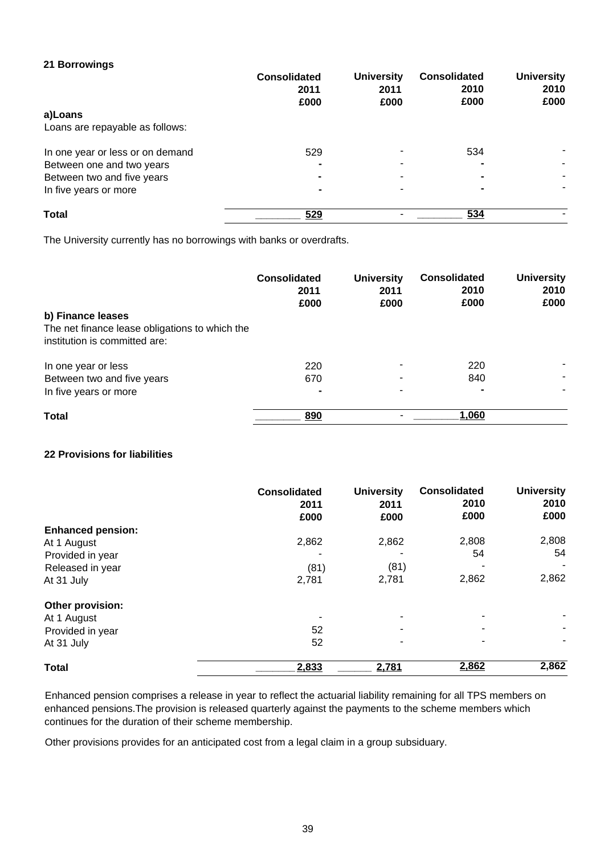# **21 Borrowings**

|                                  | <b>Consolidated</b><br>2011<br>£000 | <b>University</b><br>2011<br>£000 | <b>Consolidated</b><br>2010<br>£000 | <b>University</b><br>2010<br>£000 |
|----------------------------------|-------------------------------------|-----------------------------------|-------------------------------------|-----------------------------------|
| a)Loans                          |                                     |                                   |                                     |                                   |
| Loans are repayable as follows:  |                                     |                                   |                                     |                                   |
| In one year or less or on demand | 529                                 |                                   | 534                                 |                                   |
| Between one and two years        |                                     |                                   | -                                   |                                   |
| Between two and five years       |                                     |                                   | $\blacksquare$                      |                                   |
| In five years or more            | $\blacksquare$                      |                                   | $\blacksquare$                      |                                   |
| <b>Total</b>                     | 529                                 |                                   | 534                                 |                                   |

The University currently has no borrowings with banks or overdrafts.

|                                                | <b>Consolidated</b><br>2011<br>£000 | <b>University</b><br>2011<br>£000 | <b>Consolidated</b><br>2010<br>£000 | <b>University</b><br>2010<br>£000 |
|------------------------------------------------|-------------------------------------|-----------------------------------|-------------------------------------|-----------------------------------|
| b) Finance leases                              |                                     |                                   |                                     |                                   |
| The net finance lease obligations to which the |                                     |                                   |                                     |                                   |
| institution is committed are:                  |                                     |                                   |                                     |                                   |
| In one year or less                            | 220                                 |                                   | 220                                 |                                   |
| Between two and five years                     | 670                                 |                                   | 840                                 |                                   |
| In five years or more                          |                                     |                                   | $\blacksquare$                      |                                   |
| <b>Total</b>                                   | 890                                 |                                   | 1,060                               |                                   |

### **22 Provisions for liabilities**

|                          | <b>Consolidated</b><br>2011<br>£000 | <b>University</b><br>2011<br>£000 | <b>Consolidated</b><br>2010<br>£000 | <b>University</b><br>2010<br>£000 |
|--------------------------|-------------------------------------|-----------------------------------|-------------------------------------|-----------------------------------|
| <b>Enhanced pension:</b> |                                     |                                   |                                     |                                   |
| At 1 August              | 2,862                               | 2,862                             | 2,808                               | 2,808                             |
| Provided in year         |                                     |                                   | 54                                  | 54                                |
| Released in year         | (81)                                | (81)                              |                                     |                                   |
| At 31 July               | 2,781                               | 2,781                             | 2,862                               | 2,862                             |
| Other provision:         |                                     |                                   |                                     |                                   |
| At 1 August              |                                     |                                   | -                                   |                                   |
| Provided in year         | 52                                  | -                                 | ۰                                   |                                   |
| At 31 July               | 52                                  |                                   | ۰                                   |                                   |
| <b>Total</b>             | 2,833                               | 2,781                             | 2,862                               | 2,862                             |

Enhanced pension comprises a release in year to reflect the actuarial liability remaining for all TPS members on enhanced pensions.The provision is released quarterly against the payments to the scheme members which continues for the duration of their scheme membership.

Other provisions provides for an anticipated cost from a legal claim in a group subsiduary.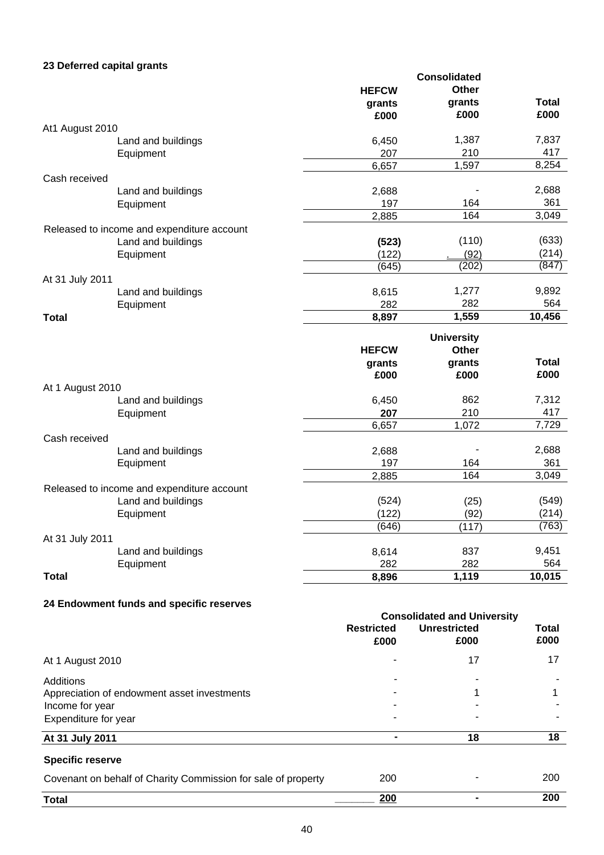# **23 Deferred capital grants**

|                  |                                            |                | <b>Consolidated</b>               |        |
|------------------|--------------------------------------------|----------------|-----------------------------------|--------|
|                  |                                            | <b>HEFCW</b>   | Other                             |        |
|                  |                                            | grants         | grants                            | Total  |
|                  |                                            | £000           | £000                              | £000   |
| At1 August 2010  |                                            |                |                                   |        |
|                  | Land and buildings                         | 6,450          | 1,387                             | 7,837  |
|                  | Equipment                                  | 207            | 210                               | 417    |
|                  |                                            | 6,657          | 1,597                             | 8,254  |
| Cash received    |                                            |                |                                   |        |
|                  | Land and buildings                         | 2,688          |                                   | 2,688  |
|                  | Equipment                                  | 197            | 164                               | 361    |
|                  |                                            | 2,885          | 164                               | 3,049  |
|                  | Released to income and expenditure account |                |                                   |        |
|                  | Land and buildings                         | (523)          | (110)                             | (633)  |
|                  | Equipment                                  | (122)          | (92)                              | (214)  |
|                  |                                            | (645)          | (202)                             | (847)  |
| At 31 July 2011  |                                            |                |                                   |        |
|                  | Land and buildings                         | 8,615          | 1,277                             | 9,892  |
|                  | Equipment                                  | 282            | 282                               | 564    |
| <b>Total</b>     |                                            | 8,897          | 1,559                             | 10,456 |
|                  |                                            |                |                                   |        |
|                  |                                            | <b>HEFCW</b>   | <b>University</b><br><b>Other</b> |        |
|                  |                                            |                |                                   | Total  |
|                  |                                            | grants<br>£000 | grants<br>£000                    | £000   |
|                  |                                            |                |                                   |        |
| At 1 August 2010 | Land and buildings                         | 6,450          | 862                               | 7,312  |
|                  |                                            | 207            | 210                               | 417    |
|                  | Equipment                                  | 6,657          | 1,072                             | 7,729  |
| Cash received    |                                            |                |                                   |        |
|                  | Land and buildings                         | 2,688          |                                   | 2,688  |
|                  | Equipment                                  | 197            | 164                               | 361    |
|                  |                                            | 2,885          | 164                               | 3,049  |
|                  | Released to income and expenditure account |                |                                   |        |
|                  | Land and buildings                         | (524)          | (25)                              | (549)  |
|                  | Equipment                                  | (122)          | (92)                              | (214)  |
|                  |                                            | (646)          | (117)                             | (763)  |
| At 31 July 2011  |                                            |                |                                   |        |
|                  | Land and buildings                         | 8,614          | 837                               | 9,451  |
|                  | Equipment                                  | 282            | 282                               | 564    |
| Total            |                                            | 8,896          | 1,119                             | 10,015 |
|                  |                                            |                |                                   |        |

# **24 Endowment funds and specific reserves**

|                                                               | <b>Consolidated and University</b> |                             |                      |  |
|---------------------------------------------------------------|------------------------------------|-----------------------------|----------------------|--|
|                                                               | <b>Restricted</b><br>£000          | <b>Unrestricted</b><br>£000 | <b>Total</b><br>£000 |  |
| At 1 August 2010                                              |                                    | 17                          | 17                   |  |
| Additions                                                     | ۰                                  |                             |                      |  |
| Appreciation of endowment asset investments                   |                                    |                             |                      |  |
| Income for year                                               |                                    |                             |                      |  |
| Expenditure for year                                          |                                    |                             |                      |  |
| At 31 July 2011                                               |                                    | 18                          | 18                   |  |
| <b>Specific reserve</b>                                       |                                    |                             |                      |  |
| Covenant on behalf of Charity Commission for sale of property | 200                                |                             | 200                  |  |
| <b>Total</b>                                                  | 200                                |                             | 200                  |  |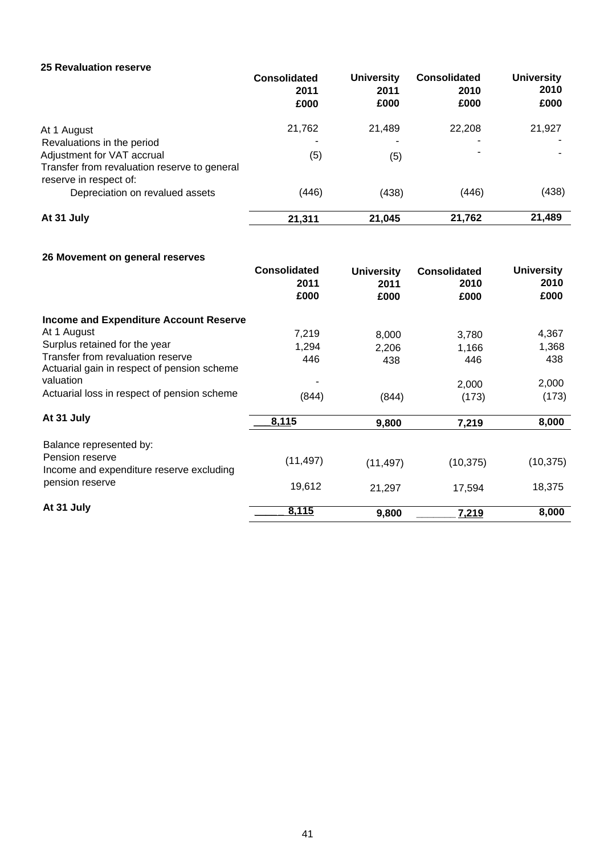### **25 Revaluation reserve**

|                                                                                                      | <b>Consolidated</b><br>2011<br>£000 | <b>University</b><br>2011<br>£000 | <b>Consolidated</b><br>2010<br>£000 | <b>University</b><br>2010<br>£000 |
|------------------------------------------------------------------------------------------------------|-------------------------------------|-----------------------------------|-------------------------------------|-----------------------------------|
| At 1 August                                                                                          | 21,762                              | 21,489                            | 22,208                              | 21,927                            |
| Revaluations in the period                                                                           |                                     | ۰                                 |                                     |                                   |
| Adjustment for VAT accrual<br>Transfer from revaluation reserve to general<br>reserve in respect of: | (5)                                 | (5)                               |                                     |                                   |
| Depreciation on revalued assets                                                                      | (446)                               | (438)                             | (446)                               | (438)                             |
| At 31 July                                                                                           | 21,311                              | 21,045                            | 21,762                              | 21,489                            |

# **26 Movement on general reserves**

|                                                                                  | <b>Consolidated</b><br>2011 | <b>University</b><br>2011 | <b>Consolidated</b><br>2010 | <b>University</b><br>2010 |
|----------------------------------------------------------------------------------|-----------------------------|---------------------------|-----------------------------|---------------------------|
|                                                                                  | £000                        | £000                      | £000                        | £000                      |
| <b>Income and Expenditure Account Reserve</b>                                    |                             |                           |                             |                           |
| At 1 August                                                                      | 7,219                       | 8,000                     | 3,780                       | 4,367                     |
| Surplus retained for the year                                                    | 1,294                       | 2,206                     | 1,166                       | 1,368                     |
| Transfer from revaluation reserve<br>Actuarial gain in respect of pension scheme | 446                         | 438                       | 446                         | 438                       |
| valuation                                                                        |                             |                           | 2,000                       | 2,000                     |
| Actuarial loss in respect of pension scheme                                      | (844)                       | (844)                     | (173)                       | (173)                     |
| At 31 July                                                                       | 8,115                       | 9,800                     | 7,219                       | 8,000                     |
| Balance represented by:                                                          |                             |                           |                             |                           |
| Pension reserve<br>Income and expenditure reserve excluding                      | (11, 497)                   | (11, 497)                 | (10, 375)                   | (10, 375)                 |
| pension reserve                                                                  | 19,612                      | 21,297                    | 17,594                      | 18,375                    |
| At 31 July                                                                       | 8,115                       | 9,800                     | 7,219                       | 8,000                     |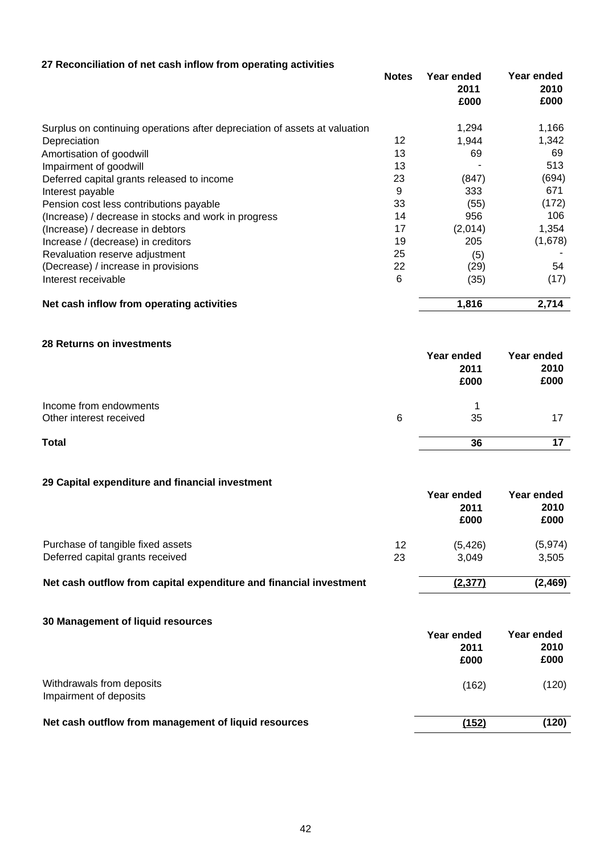| 27 Reconciliation of net cash inflow from operating activities             |              |                            |                            |
|----------------------------------------------------------------------------|--------------|----------------------------|----------------------------|
|                                                                            | <b>Notes</b> | Year ended<br>2011<br>£000 | Year ended<br>2010<br>£000 |
| Surplus on continuing operations after depreciation of assets at valuation |              | 1,294                      | 1,166                      |
| Depreciation                                                               | 12           | 1,944                      | 1,342                      |
| Amortisation of goodwill                                                   | 13           | 69                         | 69                         |
| Impairment of goodwill                                                     | 13           |                            | 513                        |
| Deferred capital grants released to income                                 | 23           | (847)                      | (694)                      |
| Interest payable                                                           | 9            | 333                        | 671                        |
| Pension cost less contributions payable                                    | 33           | (55)                       | (172)                      |
| (Increase) / decrease in stocks and work in progress                       | 14           | 956                        | 106                        |
| (Increase) / decrease in debtors                                           | 17           | (2,014)                    | 1,354                      |
| Increase / (decrease) in creditors                                         | 19           | 205                        | (1,678)                    |
| Revaluation reserve adjustment                                             | 25           | (5)                        |                            |
| (Decrease) / increase in provisions                                        | 22           | (29)                       | 54                         |
| Interest receivable                                                        | 6            | (35)                       | (17)                       |
| Net cash inflow from operating activities                                  |              | 1,816                      | 2,714                      |
|                                                                            |              |                            |                            |
| 28 Returns on investments                                                  |              | Year ended<br>2011<br>£000 | Year ended<br>2010<br>£000 |
| Income from endowments                                                     |              | 1                          |                            |
| Other interest received                                                    | 6            | 35                         | 17                         |
| <b>Total</b>                                                               |              | 36                         | 17                         |
| 29 Capital expenditure and financial investment                            |              |                            |                            |
|                                                                            |              | Year ended                 | Year ended                 |
|                                                                            |              | 2011                       | 2010                       |
|                                                                            |              | £000                       | £000                       |
| Purchase of tangible fixed assets                                          | 12           | (5, 426)                   | (5, 974)                   |
| Deferred capital grants received                                           | 23           | 3,049                      | 3,505                      |
| Net cash outflow from capital expenditure and financial investment         |              | (2, 377)                   | (2, 469)                   |
| 30 Management of liquid resources                                          |              |                            |                            |
|                                                                            |              | Year ended                 | Year ended                 |
|                                                                            |              | 2011                       | 2010                       |
|                                                                            |              | £000                       | £000                       |
| Withdrawals from deposits                                                  |              | (162)                      | (120)                      |
| Impairment of deposits                                                     |              |                            |                            |

**Net cash outflow from management of liquid resources**

**(152) (120)**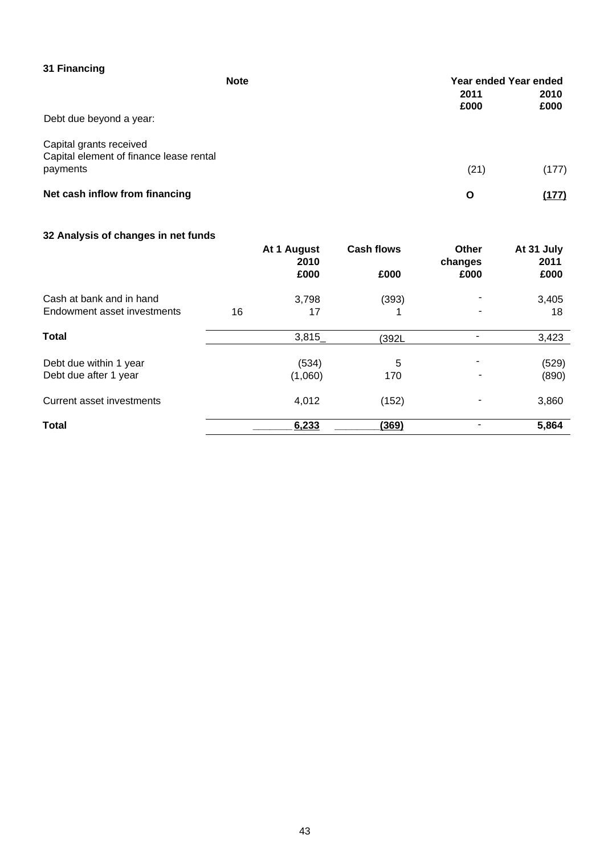| 31 Financing                                                       | <b>Note</b> |              | Year ended Year ended |
|--------------------------------------------------------------------|-------------|--------------|-----------------------|
|                                                                    |             | 2011<br>£000 | 2010<br>£000          |
| Debt due beyond a year:                                            |             |              |                       |
| Capital grants received<br>Capital element of finance lease rental |             |              |                       |
| payments                                                           |             | (21)         | (177)                 |
| Net cash inflow from financing                                     |             | O            | (177)                 |

# **32 Analysis of changes in net funds**

|                             |    | At 1 August<br>2010 | <b>Cash flows</b> | <b>Other</b><br>changes | At 31 July<br>2011 |
|-----------------------------|----|---------------------|-------------------|-------------------------|--------------------|
|                             |    | £000                | £000              | £000                    | £000               |
| Cash at bank and in hand    |    | 3,798               | (393)             |                         | 3,405              |
| Endowment asset investments | 16 | 17                  |                   |                         | 18                 |
| <b>Total</b>                |    | 3,815               | (392L             |                         | 3,423              |
| Debt due within 1 year      |    | (534)               | 5                 | ۰                       | (529)              |
| Debt due after 1 year       |    | (1,060)             | 170               |                         | (890)              |
| Current asset investments   |    | 4,012               | (152)             |                         | 3,860              |
| <b>Total</b>                |    | 6,233               | (369)             |                         | 5,864              |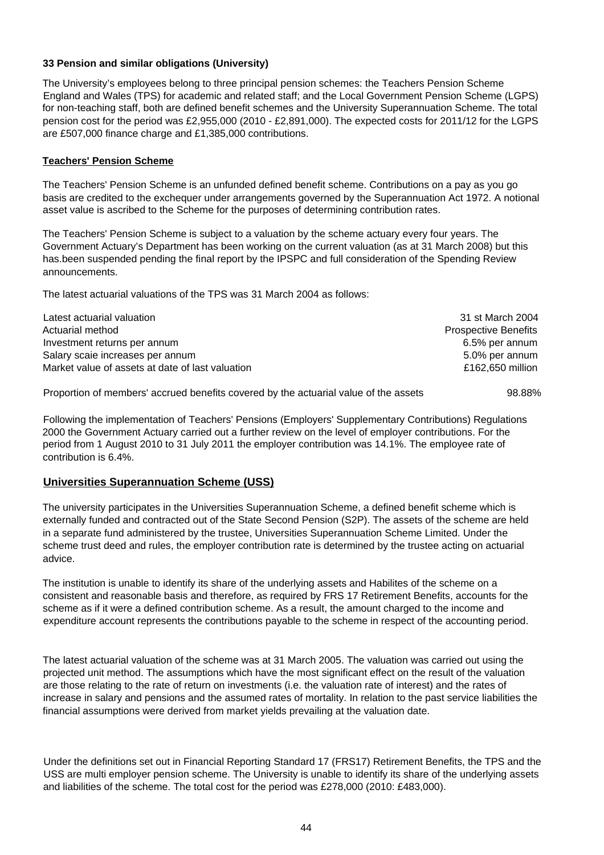### **33 Pension and similar obligations (University)**

The University's employees belong to three principal pension schemes: the Teachers Pension Scheme England and Wales (TPS) for academic and related staff; and the Local Government Pension Scheme (LGPS) for non-teaching staff, both are defined benefit schemes and the University Superannuation Scheme. The total pension cost for the period was £2,955,000 (2010 - £2,891,000). The expected costs for 2011/12 for the LGPS are £507,000 finance charge and £1,385,000 contributions.

### **Teachers' Pension Scheme**

The Teachers' Pension Scheme is an unfunded defined benefit scheme. Contributions on a pay as you go basis are credited to the exchequer under arrangements governed by the Superannuation Act 1972. A notional asset value is ascribed to the Scheme for the purposes of determining contribution rates.

The Teachers' Pension Scheme is subject to a valuation by the scheme actuary every four years. The Government Actuary's Department has been working on the current valuation (as at 31 March 2008) but this has.been suspended pending the final report by the IPSPC and full consideration of the Spending Review announcements.

The latest actuarial valuations of the TPS was 31 March 2004 as follows:

| Latest actuarial valuation                       | 31 st March 2004            |
|--------------------------------------------------|-----------------------------|
| Actuarial method                                 | <b>Prospective Benefits</b> |
| Investment returns per annum                     | 6.5% per annum              |
| Salary scaie increases per annum                 | 5.0% per annum              |
| Market value of assets at date of last valuation | £162,650 million            |
|                                                  |                             |

Proportion of members' accrued benefits covered by the actuarial value of the assets 98.88%

Following the implementation of Teachers' Pensions (Employers' Supplementary Contributions) Regulations 2000 the Government Actuary carried out a further review on the level of employer contributions. For the period from 1 August 2010 to 31 July 2011 the employer contribution was 14.1%. The employee rate of contribution is 6.4%.

# **Universities Superannuation Scheme (USS)**

The university participates in the Universities Superannuation Scheme, a defined benefit scheme which is externally funded and contracted out of the State Second Pension (S2P). The assets of the scheme are held in a separate fund administered by the trustee, Universities Superannuation Scheme Limited. Under the scheme trust deed and rules, the employer contribution rate is determined by the trustee acting on actuarial advice.

The institution is unable to identify its share of the underlying assets and Habilites of the scheme on a consistent and reasonable basis and therefore, as required by FRS 17 Retirement Benefits, accounts for the scheme as if it were a defined contribution scheme. As a result, the amount charged to the income and expenditure account represents the contributions payable to the scheme in respect of the accounting period.

The latest actuarial valuation of the scheme was at 31 March 2005. The valuation was carried out using the projected unit method. The assumptions which have the most significant effect on the result of the valuation are those relating to the rate of return on investments (i.e. the valuation rate of interest) and the rates of increase in salary and pensions and the assumed rates of mortality. In relation to the past service liabilities the financial assumptions were derived from market yields prevailing at the valuation date.

Under the definitions set out in Financial Reporting Standard 17 (FRS17) Retirement Benefits, the TPS and the USS are multi employer pension scheme. The University is unable to identify its share of the underlying assets and liabilities of the scheme. The total cost for the period was £278,000 (2010: £483,000).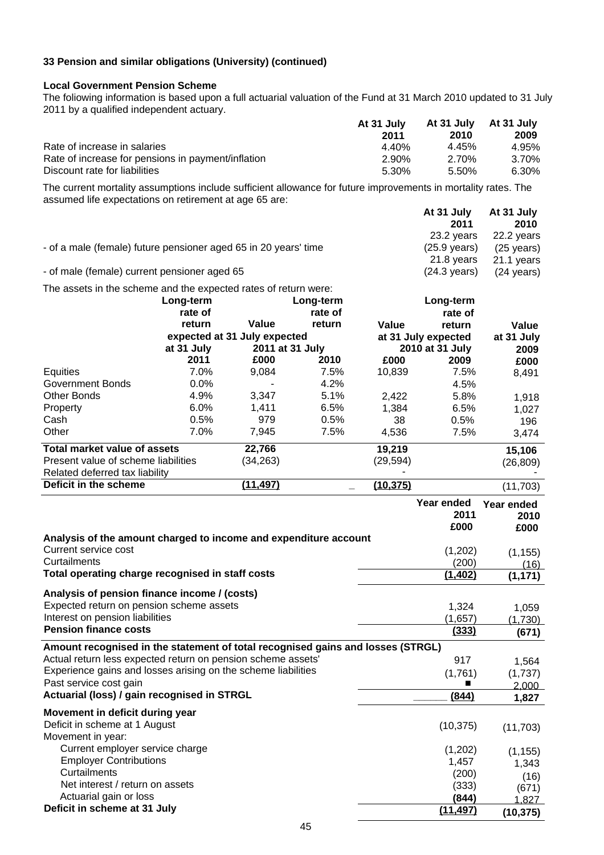# **33 Pension and similar obligations (University) (continued)**

#### **Local Government Pension Scheme**

The foliowing information is based upon a full actuarial valuation of the Fund at 31 March 2010 updated to 31 July 2011 by a qualified independent actuary.

|                                                    | At 31 July | At 31 July | At 31 July |
|----------------------------------------------------|------------|------------|------------|
|                                                    | 2011       | 2010       | 2009       |
| Rate of increase in salaries                       | 4.40%      | 4.45%      | 4.95%      |
| Rate of increase for pensions in payment/inflation | 2.90%      | 2.70%      | 3.70%      |
| Discount rate for liabilities                      | 5.30%      | 5.50%      | 6.30%      |

The current mortality assumptions include sufficient allowance for future improvements in mortality rates. The assumed life expectations on retirement at age 65 are: **At 34 July 2 At 31 July**

|                                                                 | At 31 July             | At 31 July           |
|-----------------------------------------------------------------|------------------------|----------------------|
|                                                                 | 2011                   | 2010                 |
|                                                                 | 23.2 years             | 22.2 years           |
| - of a male (female) future pensioner aged 65 in 20 years' time | $(25.9 \text{ years})$ | $(25 \text{ years})$ |
|                                                                 | 21.8 vears             | 21.1 years           |
| - of male (female) current pensioner aged 65                    | $(24.3 \text{ years})$ | $(24 \text{ years})$ |

The assets in the scheme and the expected rates of return were:

|                                     | Long-term  |                              | Long-term |           | Long-term           |            |
|-------------------------------------|------------|------------------------------|-----------|-----------|---------------------|------------|
|                                     | rate of    |                              | rate of   |           | rate of             |            |
|                                     | return     | Value                        | return    | Value     | return              | Value      |
|                                     |            | expected at 31 July expected |           |           | at 31 July expected | at 31 July |
|                                     | at 31 July | 2011 at 31 July              |           |           | 2010 at 31 July     | 2009       |
|                                     | 2011       | £000                         | 2010      | £000      | 2009                | £000       |
| Equities                            | 7.0%       | 9,084                        | 7.5%      | 10,839    | 7.5%                | 8,491      |
| Government Bonds                    | $0.0\%$    |                              | 4.2%      |           | 4.5%                |            |
| <b>Other Bonds</b>                  | 4.9%       | 3,347                        | 5.1%      | 2,422     | 5.8%                | 1,918      |
| Property                            | $6.0\%$    | 1,411                        | 6.5%      | 1,384     | 6.5%                | 1,027      |
| Cash                                | 0.5%       | 979                          | 0.5%      | 38        | 0.5%                | 196        |
| Other                               | 7.0%       | 7,945                        | 7.5%      | 4.536     | 7.5%                | 3,474      |
| Total market value of assets        |            | 22,766                       |           | 19,219    |                     | 15,106     |
| Present value of scheme liabilities |            | (34,263)                     |           | (29,594)  |                     | (26, 809)  |
| Related deferred tax liability      |            |                              |           |           |                     |            |
| Deficit in the scheme               |            | (11, 497)                    |           | (10, 375) |                     | (11, 703)  |

|                                                                                 | Year ended<br>2011<br>£000 | Year ended<br>2010<br>£000 |
|---------------------------------------------------------------------------------|----------------------------|----------------------------|
| Analysis of the amount charged to income and expenditure account                |                            |                            |
| Current service cost                                                            | (1,202)                    | (1, 155)                   |
| Curtailments                                                                    | (200)                      | (16)                       |
| Total operating charge recognised in staff costs                                | (1, 402)                   | (1, 171)                   |
| Analysis of pension finance income / (costs)                                    |                            |                            |
| Expected return on pension scheme assets                                        | 1,324                      | 1,059                      |
| Interest on pension liabilities                                                 | (1,657)                    | (1,730)                    |
| <b>Pension finance costs</b>                                                    | (333)                      | (671)                      |
| Amount recognised in the statement of total recognised gains and losses (STRGL) |                            |                            |
| Actual return less expected return on pension scheme assets'                    | 917                        | 1,564                      |
| Experience gains and losses arising on the scheme liabilities                   | (1,761)                    | (1,737)                    |
| Past service cost gain                                                          |                            | 2,000                      |
| Actuarial (loss) / gain recognised in STRGL                                     | (844)                      | 1,827                      |
| Movement in deficit during year                                                 |                            |                            |
| Deficit in scheme at 1 August                                                   | (10, 375)                  | (11, 703)                  |
| Movement in year:                                                               |                            |                            |
| Current employer service charge                                                 | (1,202)                    | (1, 155)                   |
| <b>Employer Contributions</b>                                                   | 1,457                      | 1,343                      |
| Curtailments                                                                    | (200)                      | (16)                       |
| Net interest / return on assets                                                 | (333)                      | (671)                      |
| Actuarial gain or loss                                                          | (844)                      | 1.827                      |
| Deficit in scheme at 31 July                                                    | (11, 497)                  | (10, 375)                  |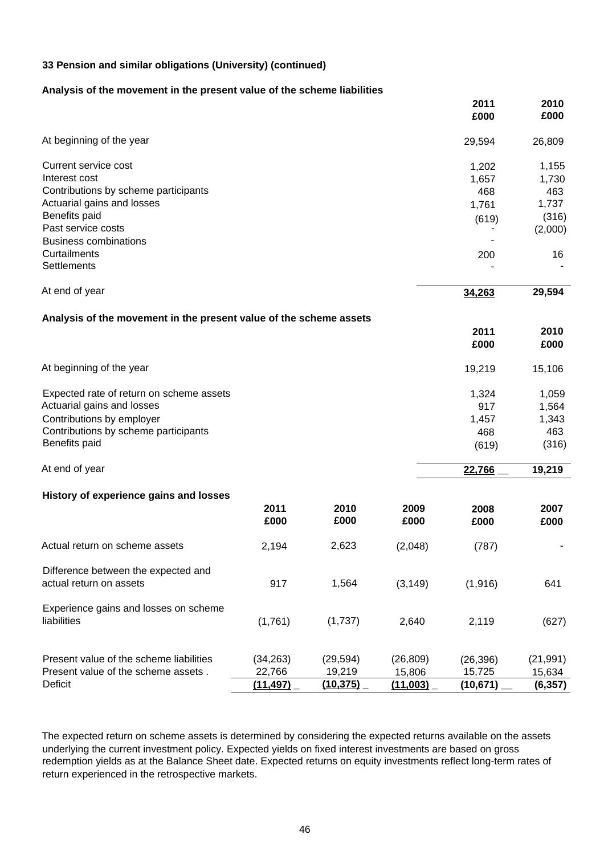### **33 Pension and similar obligations (University) (continued)**

#### **Analysis of the movement in the present value of the scheme liabilities**

|                                                                    |              |              |              | 2011<br>£000 | 2010<br>£000 |
|--------------------------------------------------------------------|--------------|--------------|--------------|--------------|--------------|
| At beginning of the year                                           |              |              |              | 29,594       | 26,809       |
| Current service cost                                               |              |              |              | 1,202        | 1,155        |
| Interest cost                                                      |              |              |              | 1,657        | 1,730        |
| Contributions by scheme participants                               |              |              |              | 468          | 463          |
| Actuarial gains and losses                                         |              |              |              | 1,761        | 1,737        |
| Benefits paid                                                      |              |              |              | (619)        | (316)        |
| Past service costs                                                 |              |              |              |              | (2,000)      |
| <b>Business combinations</b>                                       |              |              |              |              |              |
| Curtailments                                                       |              |              |              | 200          | 16           |
| Settlements                                                        |              |              |              |              |              |
| At end of year                                                     |              |              |              | 34,263       | 29,594       |
| Analysis of the movement in the present value of the scheme assets |              |              |              |              |              |
|                                                                    |              |              |              | 2011         | 2010         |
|                                                                    |              |              |              | £000         | £000         |
| At beginning of the year                                           |              |              |              | 19,219       | 15,106       |
| Expected rate of return on scheme assets                           |              |              |              | 1,324        | 1,059        |
| Actuarial gains and losses                                         |              |              |              | 917          | 1,564        |
| Contributions by employer                                          |              |              |              | 1,457        | 1,343        |
| Contributions by scheme participants                               |              |              |              | 468          | 463          |
| Benefits paid                                                      |              |              |              | (619)        | (316)        |
| At end of year                                                     |              |              |              | 22,766       | 19,219       |
| History of experience gains and losses                             |              |              |              |              |              |
|                                                                    | 2011<br>£000 | 2010<br>£000 | 2009<br>£000 | 2008<br>£000 | 2007<br>£000 |
| Actual return on scheme assets                                     | 2,194        | 2,623        | (2,048)      | (787)        |              |
| Difference between the expected and<br>actual return on assets     | 917          | 1,564        | (3, 149)     | (1, 916)     | 641          |
| Experience gains and losses on scheme                              |              |              |              |              |              |
| liabilities                                                        | (1,761)      | (1,737)      | 2,640        | 2,119        | (627)        |
| Present value of the scheme liabilities                            | (34, 263)    | (29, 594)    | (26, 809)    | (26, 396)    | (21, 991)    |
| Present value of the scheme assets.                                | 22,766       | 19,219       | 15,806       | 15,725       | 15,634       |
| Deficit                                                            | (11, 497)    | (10, 375)    | (11,003)     | (10, 671)    | (6, 357)     |
|                                                                    |              |              |              |              |              |

The expected return on scheme assets is determined by considering the expected returns available on the assets underlying the current investment policy. Expected yields on fixed interest investments are based on gross redemption yields as at the Balance Sheet date. Expected returns on equity investments reflect long-term rates of return experienced in the retrospective markets.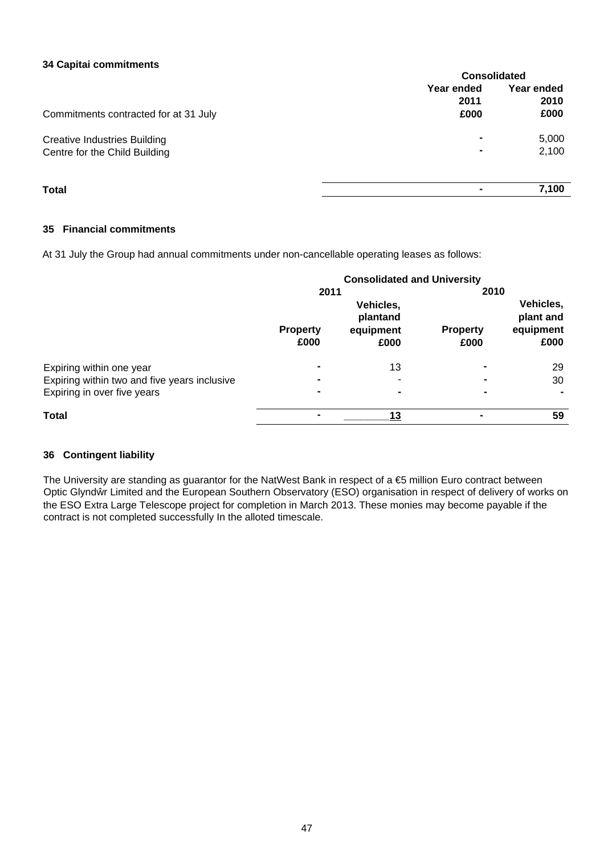#### **34 Capitai commitments**

|                                       | <b>Consolidated</b>        |                            |  |
|---------------------------------------|----------------------------|----------------------------|--|
| Commitments contracted for at 31 July | Year ended<br>2011<br>£000 | Year ended<br>2010<br>£000 |  |
| <b>Creative Industries Building</b>   | $\blacksquare$             | 5,000                      |  |
| Centre for the Child Building         | $\blacksquare$             | 2,100                      |  |
| <b>Total</b>                          |                            | 7,100                      |  |

### **35 Financial commitments**

At 31 July the Group had annual commitments under non-cancellable operating leases as follows:

|                                              | <b>Consolidated and University</b> |                                            |                         |                                             |
|----------------------------------------------|------------------------------------|--------------------------------------------|-------------------------|---------------------------------------------|
|                                              | 2011                               |                                            | 2010                    |                                             |
|                                              | <b>Property</b><br>£000            | Vehicles,<br>plantand<br>equipment<br>£000 | <b>Property</b><br>£000 | Vehicles,<br>plant and<br>equipment<br>£000 |
| Expiring within one year                     | $\blacksquare$                     | 13                                         | -                       | 29                                          |
| Expiring within two and five years inclusive | $\blacksquare$                     |                                            |                         | 30                                          |
| Expiring in over five years                  | $\blacksquare$                     | -                                          |                         |                                             |
| Total                                        | $\blacksquare$                     | 13                                         | $\blacksquare$          | 59                                          |

### **36 Contingent liability**

The University are standing as guarantor for the NatWest Bank in respect of a €5 million Euro contract between Optic Glynd r Limited and the European Southern Observatory (ESO) organisation in respect of delivery of works on the ESO Extra Large Telescope project for completion in March 2013. These monies may become payable if the contract is not completed successfully In the alloted timescale.